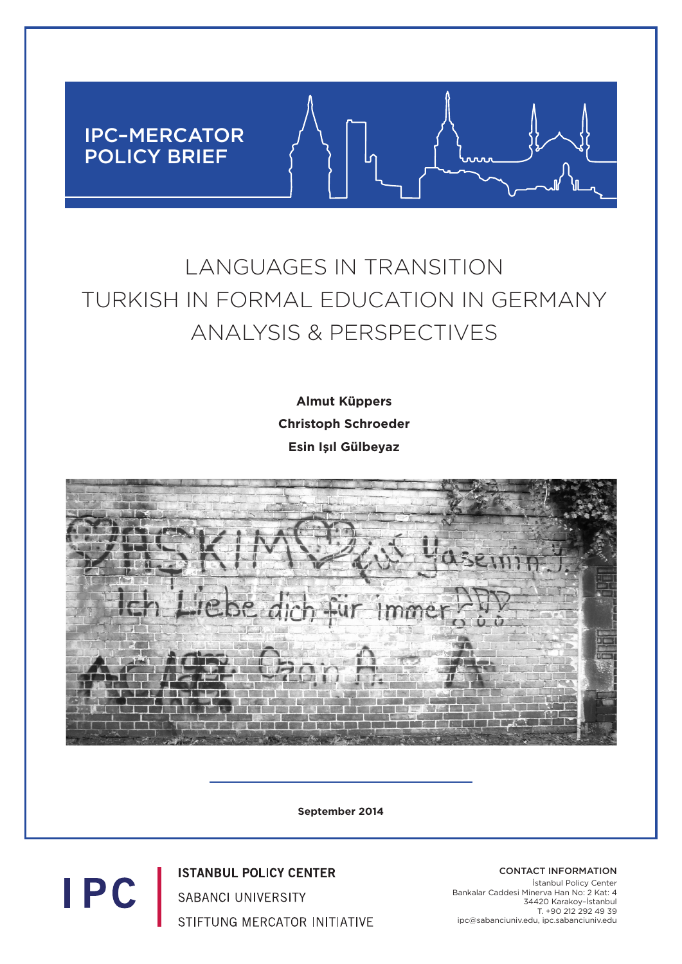

# LANGUAGES IN TRANSITION TURKISH IN FORMAL EDUCATION IN GERMANY ANALYSIS & PERSPECTIVES

**Almut Küppers Christoph Schroeder Esin Işıl Gülbeyaz**



**September 2014**

**ISTANBUL POLICY CENTER SABANCI UNIVERSITY** STIFTUNG MERCATOR INITIATIVE

**IPC** 

CONTACT INFORMATION İstanbul Policy Center Bankalar Caddesi Minerva Han No: 2 Kat: 4 34420 Karakoy–İstanbul T. +90 212 292 49 39 ipc@sabanciuniv.edu, ipc.sabanciuniv.edu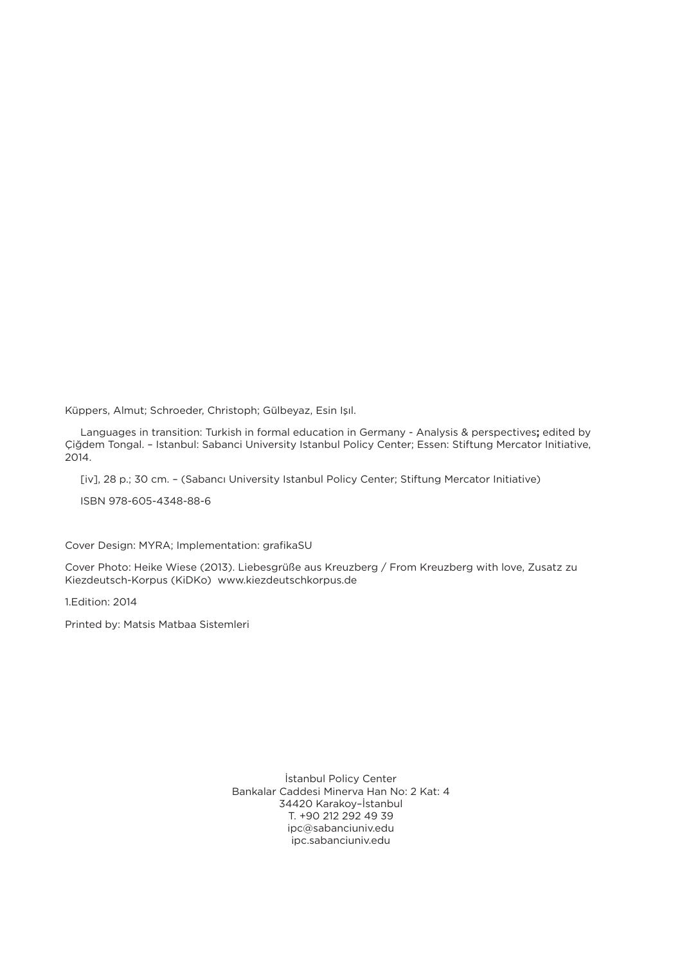Küppers, Almut; Schroeder, Christoph; Gülbeyaz, Esin Işıl.

 Languages in transition: Turkish in formal education in Germany - Analysis & perspectives**;** edited by Çiğdem Tongal. – Istanbul: Sabanci University Istanbul Policy Center; Essen: Stiftung Mercator Initiative, 2014.

[iv], 28 p.; 30 cm. – (Sabancı University Istanbul Policy Center; Stiftung Mercator Initiative)

ISBN 978-605-4348-88-6

Cover Design: MYRA; Implementation: grafikaSU

Cover Photo: Heike Wiese (2013). Liebesgrüße aus Kreuzberg / From Kreuzberg with love, Zusatz zu Kiezdeutsch-Korpus (KiDKo) www.kiezdeutschkorpus.de

1.Edition: 2014

Printed by: Matsis Matbaa Sistemleri

İstanbul Policy Center Bankalar Caddesi Minerva Han No: 2 Kat: 4 34420 Karakoy–İstanbul T. +90 212 292 49 39 ipc@sabanciuniv.edu ipc.sabanciuniv.edu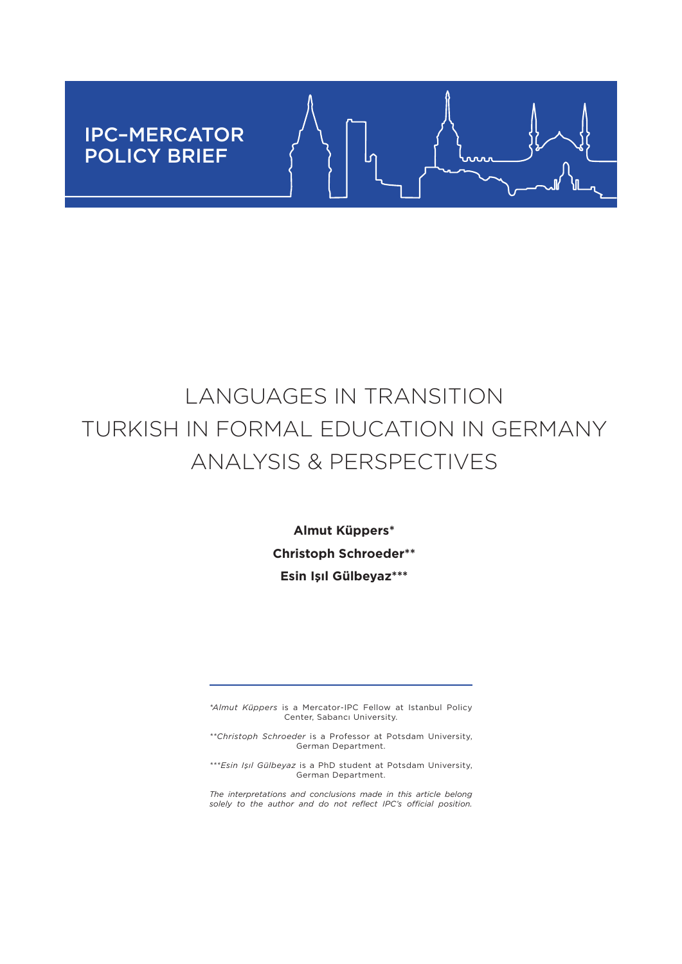# IPC–MERCATOR POLICY BRIEF

# $0.0.0$

# LANGUAGES IN TRANSITION TURKISH IN FORMAL EDUCATION IN GERMANY ANALYSIS & PERSPECTIVES

**Almut Küppers\* Christoph Schroeder\*\* Esin Işıl Gülbeyaz\*\*\***

*\*Almut Küppers* is a Mercator-IPC Fellow at Istanbul Policy Center, Sabancı University.

*\*\*Christoph Schroeder* is a Professor at Potsdam University, German Department.

*\*\*\*Esin Işıl Gülbeyaz* is a PhD student at Potsdam University, German Department.

*The interpretations and conclusions made in this article belong solely to the author and do not reflect IPC's official position.*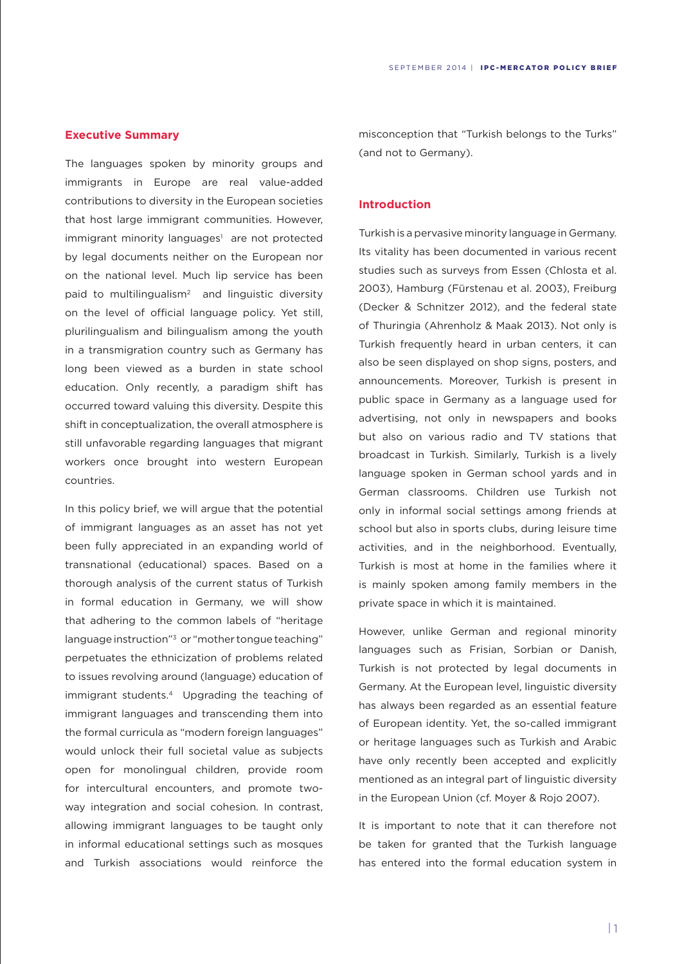#### **Executive Summary**

The languages spoken by minority groups and immigrants in Europe are real value-added contributions to diversity in the European societies that host large immigrant communities. However, immigrant minority languages<sup>1</sup> are not protected by legal documents neither on the European nor on the national level. Much lip service has been paid to multilingualism<sup>2</sup> and linguistic diversity on the level of official language policy. Yet still, plurilingualism and bilingualism among the youth in a transmigration country such as Germany has long been viewed as a burden in state school education. Only recently, a paradigm shift has occurred toward valuing this diversity. Despite this shift in conceptualization, the overall atmosphere is still unfavorable regarding languages that migrant workers once brought into western European countries.

In this policy brief, we will argue that the potential of immigrant languages as an asset has not yet been fully appreciated in an expanding world of transnational (educational) spaces. Based on a thorough analysis of the current status of Turkish in formal education in Germany, we will show that adhering to the common labels of "heritage language instruction"<sup>3</sup> or "mother tongue teaching" perpetuates the ethnicization of problems related to issues revolving around (language) education of immigrant students.4 Upgrading the teaching of immigrant languages and transcending them into the formal curricula as "modern foreign languages" would unlock their full societal value as subjects open for monolingual children, provide room for intercultural encounters, and promote twoway integration and social cohesion. In contrast, allowing immigrant languages to be taught only in informal educational settings such as mosques and Turkish associations would reinforce the

misconception that "Turkish belongs to the Turks" (and not to Germany).

#### **Introduction**

Turkish is a pervasive minority language in Germany. Its vitality has been documented in various recent studies such as surveys from Essen (Chlosta et al. 2003), Hamburg (Fürstenau et al. 2003), Freiburg (Decker & Schnitzer 2012), and the federal state of Thuringia (Ahrenholz & Maak 2013). Not only is Turkish frequently heard in urban centers, it can also be seen displayed on shop signs, posters, and announcements. Moreover, Turkish is present in public space in Germany as a language used for advertising, not only in newspapers and books but also on various radio and TV stations that broadcast in Turkish. Similarly, Turkish is a lively language spoken in German school yards and in German classrooms. Children use Turkish not only in informal social settings among friends at school but also in sports clubs, during leisure time activities, and in the neighborhood. Eventually, Turkish is most at home in the families where it is mainly spoken among family members in the private space in which it is maintained.

However, unlike German and regional minority languages such as Frisian, Sorbian or Danish, Turkish is not protected by legal documents in Germany. At the European level, linguistic diversity has always been regarded as an essential feature of European identity. Yet, the so-called immigrant or heritage languages such as Turkish and Arabic have only recently been accepted and explicitly mentioned as an integral part of linguistic diversity in the European Union (cf. Moyer & Rojo 2007).

It is important to note that it can therefore not be taken for granted that the Turkish language has entered into the formal education system in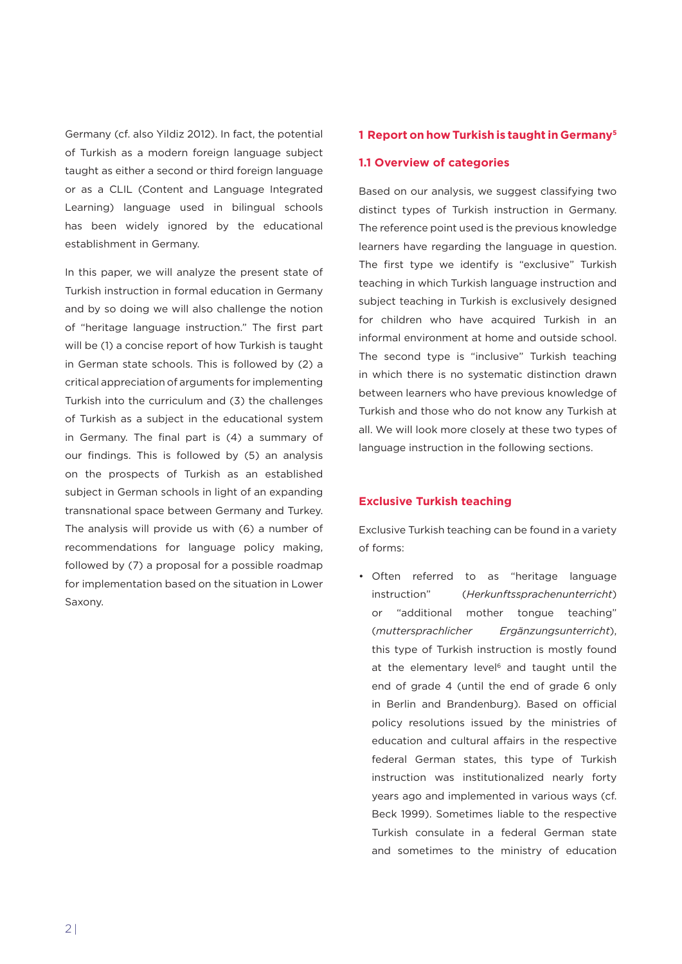Germany (cf. also Yildiz 2012). In fact, the potential of Turkish as a modern foreign language subject taught as either a second or third foreign language or as a CLIL (Content and Language Integrated Learning) language used in bilingual schools has been widely ignored by the educational establishment in Germany.

In this paper, we will analyze the present state of Turkish instruction in formal education in Germany and by so doing we will also challenge the notion of "heritage language instruction." The first part will be (1) a concise report of how Turkish is taught in German state schools. This is followed by (2) a critical appreciation of arguments for implementing Turkish into the curriculum and (3) the challenges of Turkish as a subject in the educational system in Germany. The final part is (4) a summary of our findings. This is followed by (5) an analysis on the prospects of Turkish as an established subject in German schools in light of an expanding transnational space between Germany and Turkey. The analysis will provide us with (6) a number of recommendations for language policy making, followed by (7) a proposal for a possible roadmap for implementation based on the situation in Lower Saxony.

# **1 Report on how Turkish is taught in Germany5**

# **1.1 Overview of categories**

Based on our analysis, we suggest classifying two distinct types of Turkish instruction in Germany. The reference point used is the previous knowledge learners have regarding the language in question. The first type we identify is "exclusive" Turkish teaching in which Turkish language instruction and subject teaching in Turkish is exclusively designed for children who have acquired Turkish in an informal environment at home and outside school. The second type is "inclusive" Turkish teaching in which there is no systematic distinction drawn between learners who have previous knowledge of Turkish and those who do not know any Turkish at all. We will look more closely at these two types of language instruction in the following sections.

#### **Exclusive Turkish teaching**

Exclusive Turkish teaching can be found in a variety of forms:

• Often referred to as "heritage language instruction" (*Herkunftssprachenunterricht*) or "additional mother tongue teaching" (*muttersprachlicher Ergänzungsunterricht*), this type of Turkish instruction is mostly found at the elementary level<sup>6</sup> and taught until the end of grade 4 (until the end of grade 6 only in Berlin and Brandenburg). Based on official policy resolutions issued by the ministries of education and cultural affairs in the respective federal German states, this type of Turkish instruction was institutionalized nearly forty years ago and implemented in various ways (cf. Beck 1999). Sometimes liable to the respective Turkish consulate in a federal German state and sometimes to the ministry of education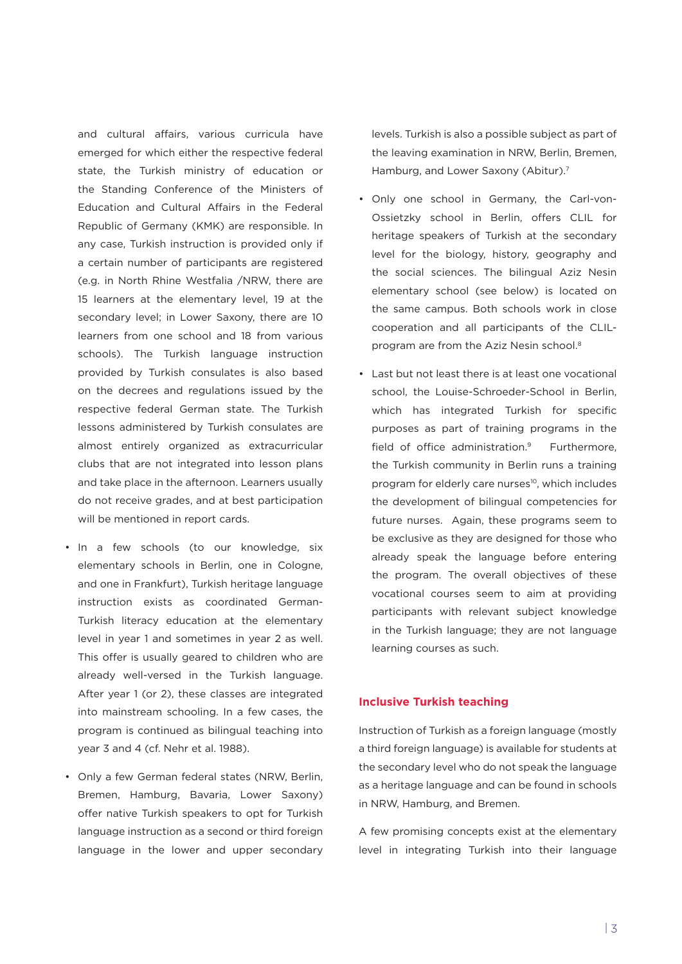and cultural affairs, various curricula have emerged for which either the respective federal state, the Turkish ministry of education or the Standing Conference of the Ministers of Education and Cultural Affairs in the Federal Republic of Germany (KMK) are responsible. In any case, Turkish instruction is provided only if a certain number of participants are registered (e.g. in North Rhine Westfalia /NRW, there are 15 learners at the elementary level, 19 at the secondary level; in Lower Saxony, there are 10 learners from one school and 18 from various schools). The Turkish language instruction provided by Turkish consulates is also based on the decrees and regulations issued by the respective federal German state. The Turkish lessons administered by Turkish consulates are almost entirely organized as extracurricular clubs that are not integrated into lesson plans and take place in the afternoon. Learners usually do not receive grades, and at best participation will be mentioned in report cards.

- In a few schools (to our knowledge, six elementary schools in Berlin, one in Cologne, and one in Frankfurt), Turkish heritage language instruction exists as coordinated German-Turkish literacy education at the elementary level in year 1 and sometimes in year 2 as well. This offer is usually geared to children who are already well-versed in the Turkish language. After year 1 (or 2), these classes are integrated into mainstream schooling. In a few cases, the program is continued as bilingual teaching into year 3 and 4 (cf. Nehr et al. 1988).
- Only a few German federal states (NRW, Berlin, Bremen, Hamburg, Bavaria, Lower Saxony) offer native Turkish speakers to opt for Turkish language instruction as a second or third foreign language in the lower and upper secondary

levels. Turkish is also a possible subject as part of the leaving examination in NRW, Berlin, Bremen, Hamburg, and Lower Saxony (Abitur).<sup>7</sup>

- • Only one school in Germany, the Carl-von-Ossietzky school in Berlin, offers CLIL for heritage speakers of Turkish at the secondary level for the biology, history, geography and the social sciences. The bilingual Aziz Nesin elementary school (see below) is located on the same campus. Both schools work in close cooperation and all participants of the CLILprogram are from the Aziz Nesin school.8
- • Last but not least there is at least one vocational school, the Louise-Schroeder-School in Berlin, which has integrated Turkish for specific purposes as part of training programs in the field of office administration.<sup>9</sup> Furthermore, the Turkish community in Berlin runs a training program for elderly care nurses<sup>10</sup>, which includes the development of bilingual competencies for future nurses. Again, these programs seem to be exclusive as they are designed for those who already speak the language before entering the program. The overall objectives of these vocational courses seem to aim at providing participants with relevant subject knowledge in the Turkish language; they are not language learning courses as such.

# **Inclusive Turkish teaching**

Instruction of Turkish as a foreign language (mostly a third foreign language) is available for students at the secondary level who do not speak the language as a heritage language and can be found in schools in NRW, Hamburg, and Bremen.

A few promising concepts exist at the elementary level in integrating Turkish into their language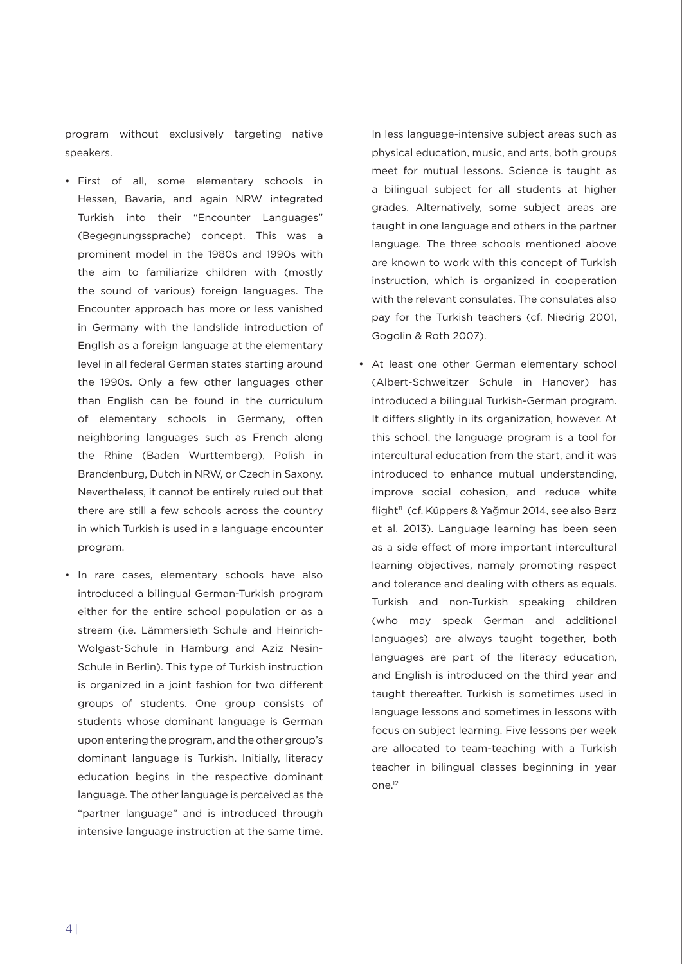program without exclusively targeting native speakers.

- • First of all, some elementary schools in Hessen, Bavaria, and again NRW integrated Turkish into their "Encounter Languages" (Begegnungssprache) concept. This was a prominent model in the 1980s and 1990s with the aim to familiarize children with (mostly the sound of various) foreign languages. The Encounter approach has more or less vanished in Germany with the landslide introduction of English as a foreign language at the elementary level in all federal German states starting around the 1990s. Only a few other languages other than English can be found in the curriculum of elementary schools in Germany, often neighboring languages such as French along the Rhine (Baden Wurttemberg), Polish in Brandenburg, Dutch in NRW, or Czech in Saxony. Nevertheless, it cannot be entirely ruled out that there are still a few schools across the country in which Turkish is used in a language encounter program.
- • In rare cases, elementary schools have also introduced a bilingual German-Turkish program either for the entire school population or as a stream (i.e. Lämmersieth Schule and Heinrich-Wolgast-Schule in Hamburg and Aziz Nesin-Schule in Berlin). This type of Turkish instruction is organized in a joint fashion for two different groups of students. One group consists of students whose dominant language is German upon entering the program, and the other group's dominant language is Turkish. Initially, literacy education begins in the respective dominant language. The other language is perceived as the "partner language" and is introduced through intensive language instruction at the same time.

In less language-intensive subject areas such as physical education, music, and arts, both groups meet for mutual lessons. Science is taught as a bilingual subject for all students at higher grades. Alternatively, some subject areas are taught in one language and others in the partner language. The three schools mentioned above are known to work with this concept of Turkish instruction, which is organized in cooperation with the relevant consulates. The consulates also pay for the Turkish teachers (cf. Niedrig 2001, Gogolin & Roth 2007).

• At least one other German elementary school (Albert-Schweitzer Schule in Hanover) has introduced a bilingual Turkish-German program. It differs slightly in its organization, however. At this school, the language program is a tool for intercultural education from the start, and it was introduced to enhance mutual understanding, improve social cohesion, and reduce white flight<sup>11</sup> (cf. Küppers & Yağmur 2014, see also Barz et al. 2013). Language learning has been seen as a side effect of more important intercultural learning objectives, namely promoting respect and tolerance and dealing with others as equals. Turkish and non-Turkish speaking children (who may speak German and additional languages) are always taught together, both languages are part of the literacy education, and English is introduced on the third year and taught thereafter. Turkish is sometimes used in language lessons and sometimes in lessons with focus on subject learning. Five lessons per week are allocated to team-teaching with a Turkish teacher in bilingual classes beginning in year  $O<sup>12</sup>$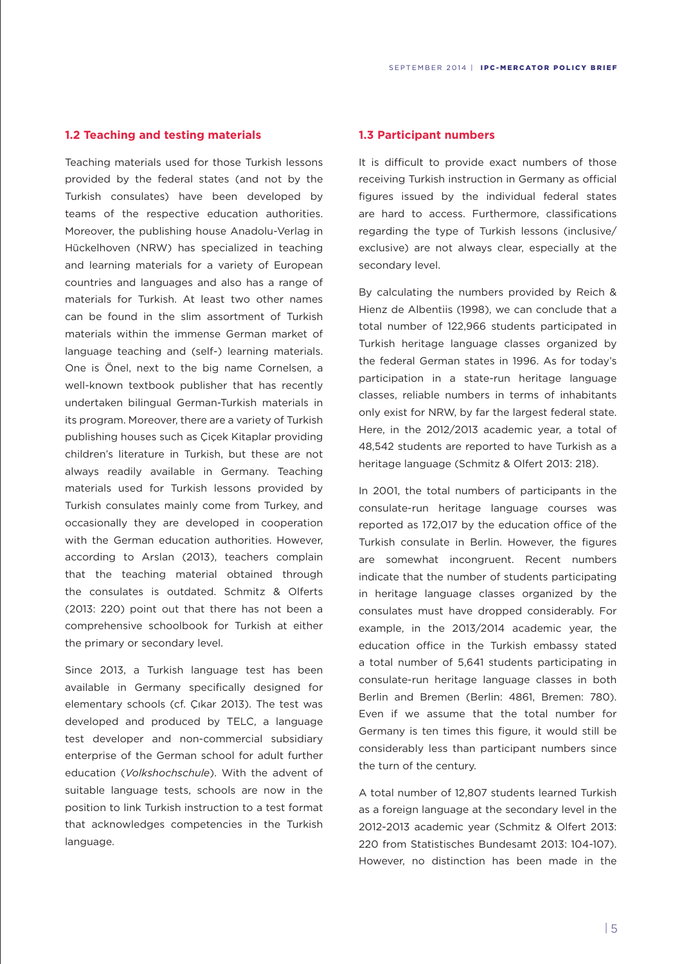# **1.2 Teaching and testing materials**

Teaching materials used for those Turkish lessons provided by the federal states (and not by the Turkish consulates) have been developed by teams of the respective education authorities. Moreover, the publishing house Anadolu-Verlag in Hückelhoven (NRW) has specialized in teaching and learning materials for a variety of European countries and languages and also has a range of materials for Turkish. At least two other names can be found in the slim assortment of Turkish materials within the immense German market of language teaching and (self-) learning materials. One is Önel, next to the big name Cornelsen, a well-known textbook publisher that has recently undertaken bilingual German-Turkish materials in its program. Moreover, there are a variety of Turkish publishing houses such as Çiçek Kitaplar providing children's literature in Turkish, but these are not always readily available in Germany. Teaching materials used for Turkish lessons provided by Turkish consulates mainly come from Turkey, and occasionally they are developed in cooperation with the German education authorities. However, according to Arslan (2013), teachers complain that the teaching material obtained through the consulates is outdated. Schmitz & Olferts (2013: 220) point out that there has not been a comprehensive schoolbook for Turkish at either the primary or secondary level.

Since 2013, a Turkish language test has been available in Germany specifically designed for elementary schools (cf. Çıkar 2013). The test was developed and produced by TELC, a language test developer and non-commercial subsidiary enterprise of the German school for adult further education (*Volkshochschule*). With the advent of suitable language tests, schools are now in the position to link Turkish instruction to a test format that acknowledges competencies in the Turkish language.

# **1.3 Participant numbers**

It is difficult to provide exact numbers of those receiving Turkish instruction in Germany as official figures issued by the individual federal states are hard to access. Furthermore, classifications regarding the type of Turkish lessons (inclusive/ exclusive) are not always clear, especially at the secondary level.

By calculating the numbers provided by Reich & Hienz de Albentiis (1998), we can conclude that a total number of 122,966 students participated in Turkish heritage language classes organized by the federal German states in 1996. As for today's participation in a state-run heritage language classes, reliable numbers in terms of inhabitants only exist for NRW, by far the largest federal state. Here, in the 2012/2013 academic year, a total of 48,542 students are reported to have Turkish as a heritage language (Schmitz & Olfert 2013: 218).

In 2001, the total numbers of participants in the consulate-run heritage language courses was reported as 172,017 by the education office of the Turkish consulate in Berlin. However, the figures are somewhat incongruent. Recent numbers indicate that the number of students participating in heritage language classes organized by the consulates must have dropped considerably. For example, in the 2013/2014 academic year, the education office in the Turkish embassy stated a total number of 5,641 students participating in consulate-run heritage language classes in both Berlin and Bremen (Berlin: 4861, Bremen: 780). Even if we assume that the total number for Germany is ten times this figure, it would still be considerably less than participant numbers since the turn of the century.

A total number of 12,807 students learned Turkish as a foreign language at the secondary level in the 2012-2013 academic year (Schmitz & Olfert 2013: 220 from Statistisches Bundesamt 2013: 104-107). However, no distinction has been made in the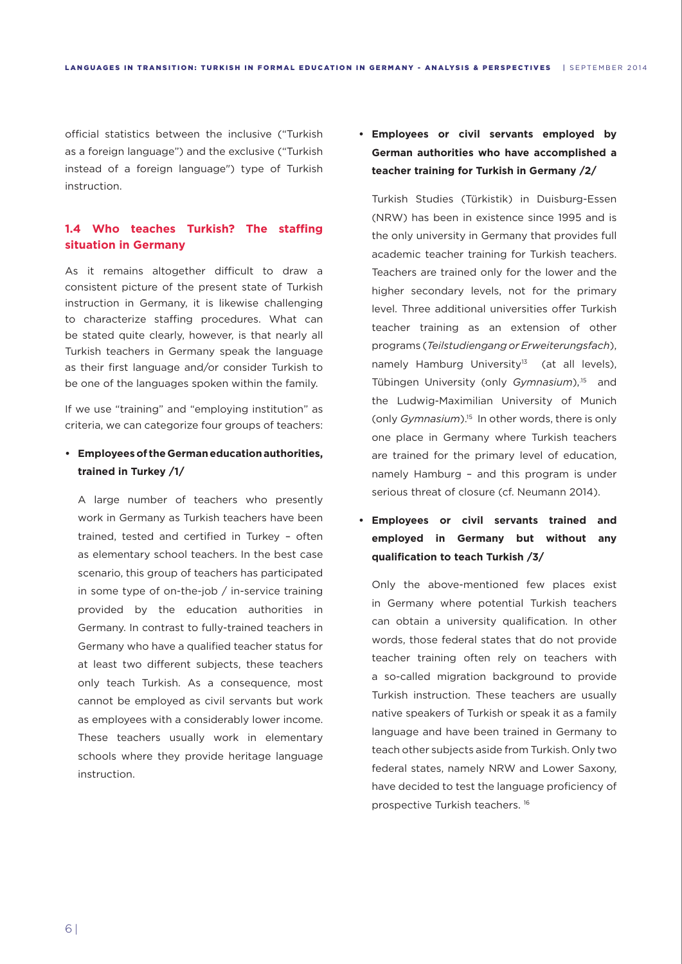official statistics between the inclusive ("Turkish as a foreign language") and the exclusive ("Turkish instead of a foreign language") type of Turkish instruction.

# **1.4 Who teaches Turkish? The staffing situation in Germany**

As it remains altogether difficult to draw a consistent picture of the present state of Turkish instruction in Germany, it is likewise challenging to characterize staffing procedures. What can be stated quite clearly, however, is that nearly all Turkish teachers in Germany speak the language as their first language and/or consider Turkish to be one of the languages spoken within the family.

If we use "training" and "employing institution" as criteria, we can categorize four groups of teachers:

# **• Employees of the German education authorities, trained in Turkey /1/**

A large number of teachers who presently work in Germany as Turkish teachers have been trained, tested and certified in Turkey – often as elementary school teachers. In the best case scenario, this group of teachers has participated in some type of on-the-job / in-service training provided by the education authorities in Germany. In contrast to fully-trained teachers in Germany who have a qualified teacher status for at least two different subjects, these teachers only teach Turkish. As a consequence, most cannot be employed as civil servants but work as employees with a considerably lower income. These teachers usually work in elementary schools where they provide heritage language instruction.

# **• Employees or civil servants employed by German authorities who have accomplished a teacher training for Turkish in Germany /2/**

Turkish Studies (Türkistik) in Duisburg-Essen (NRW) has been in existence since 1995 and is the only university in Germany that provides full academic teacher training for Turkish teachers. Teachers are trained only for the lower and the higher secondary levels, not for the primary level. Three additional universities offer Turkish teacher training as an extension of other programs (*Teilstudiengang or Erweiterungsfach*), namely Hamburg University<sup>13</sup> (at all levels), Tübingen University (only *Gymnasium*),<sup>15</sup> and the Ludwig-Maximilian University of Munich (only *Gymnasium*).15 In other words, there is only one place in Germany where Turkish teachers are trained for the primary level of education, namely Hamburg – and this program is under serious threat of closure (cf. Neumann 2014).

**• Employees or civil servants trained and employed in Germany but without any qualification to teach Turkish /3/**

Only the above-mentioned few places exist in Germany where potential Turkish teachers can obtain a university qualification. In other words, those federal states that do not provide teacher training often rely on teachers with a so-called migration background to provide Turkish instruction. These teachers are usually native speakers of Turkish or speak it as a family language and have been trained in Germany to teach other subjects aside from Turkish. Only two federal states, namely NRW and Lower Saxony, have decided to test the language proficiency of prospective Turkish teachers. 16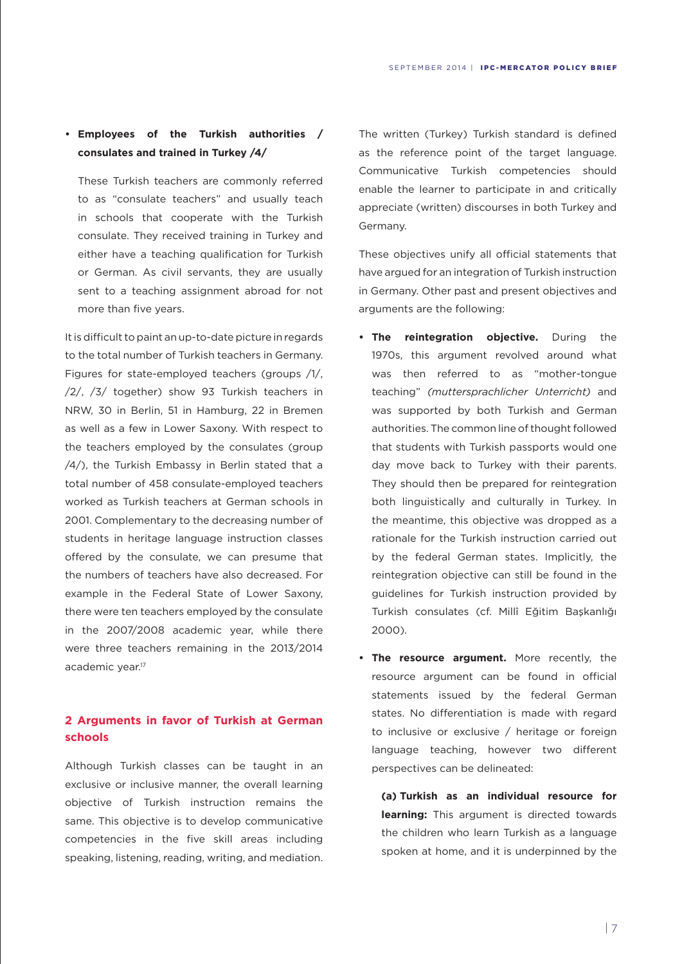# **• Employees of the Turkish authorities / consulates and trained in Turkey /4/**

These Turkish teachers are commonly referred to as "consulate teachers" and usually teach in schools that cooperate with the Turkish consulate. They received training in Turkey and either have a teaching qualification for Turkish or German. As civil servants, they are usually sent to a teaching assignment abroad for not more than five years.

It is difficult to paint an up-to-date picture in regards to the total number of Turkish teachers in Germany. Figures for state-employed teachers (groups /1/, /2/, /3/ together) show 93 Turkish teachers in NRW, 30 in Berlin, 51 in Hamburg, 22 in Bremen as well as a few in Lower Saxony. With respect to the teachers employed by the consulates (group /4/), the Turkish Embassy in Berlin stated that a total number of 458 consulate-employed teachers worked as Turkish teachers at German schools in 2001. Complementary to the decreasing number of students in heritage language instruction classes offered by the consulate, we can presume that the numbers of teachers have also decreased. For example in the Federal State of Lower Saxony, there were ten teachers employed by the consulate in the 2007/2008 academic year, while there were three teachers remaining in the 2013/2014 academic year.<sup>17</sup>

# **2 Arguments in favor of Turkish at German schools**

Although Turkish classes can be taught in an exclusive or inclusive manner, the overall learning objective of Turkish instruction remains the same. This objective is to develop communicative competencies in the five skill areas including speaking, listening, reading, writing, and mediation.

The written (Turkey) Turkish standard is defined as the reference point of the target language. Communicative Turkish competencies should enable the learner to participate in and critically appreciate (written) discourses in both Turkey and Germany.

These objectives unify all official statements that have argued for an integration of Turkish instruction in Germany. Other past and present objectives and arguments are the following:

- **• The reintegration objective.** During the 1970s, this argument revolved around what was then referred to as "mother-tongue teaching" *(muttersprachlicher Unterricht)* and was supported by both Turkish and German authorities. The common line of thought followed that students with Turkish passports would one day move back to Turkey with their parents. They should then be prepared for reintegration both linguistically and culturally in Turkey. In the meantime, this objective was dropped as a rationale for the Turkish instruction carried out by the federal German states. Implicitly, the reintegration objective can still be found in the guidelines for Turkish instruction provided by Turkish consulates (cf. Millî Eğitim Başkanlığı 2000).
- **• The resource argument.** More recently, the resource argument can be found in official statements issued by the federal German states. No differentiation is made with regard to inclusive or exclusive / heritage or foreign language teaching, however two different perspectives can be delineated:

**(a) Turkish as an individual resource for learning:** This argument is directed towards the children who learn Turkish as a language spoken at home, and it is underpinned by the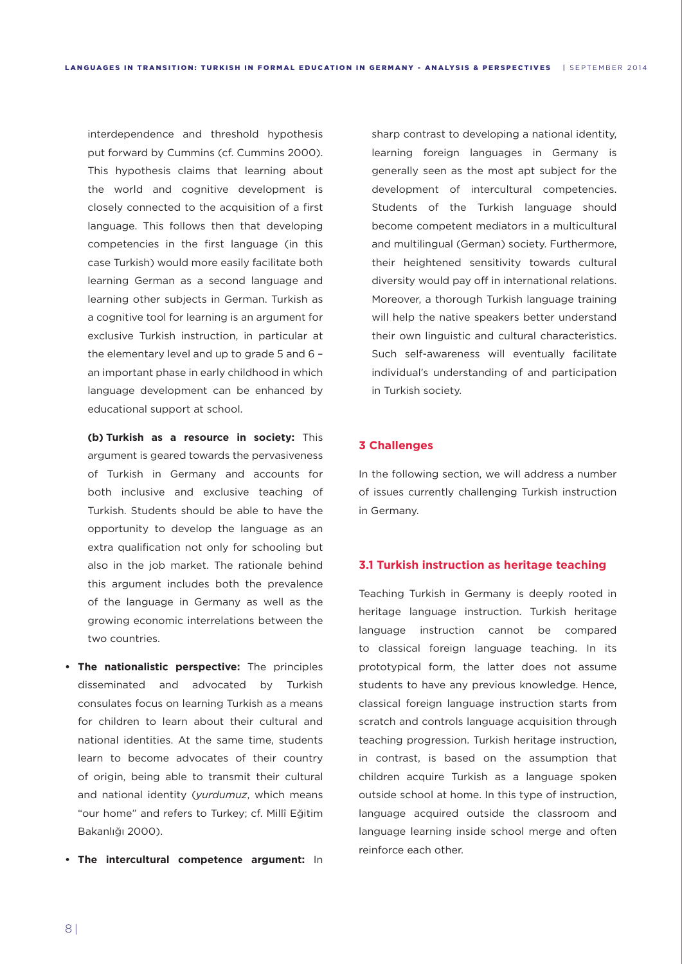interdependence and threshold hypothesis put forward by Cummins (cf. Cummins 2000). This hypothesis claims that learning about the world and cognitive development is closely connected to the acquisition of a first language. This follows then that developing competencies in the first language (in this case Turkish) would more easily facilitate both learning German as a second language and learning other subjects in German. Turkish as a cognitive tool for learning is an argument for exclusive Turkish instruction, in particular at the elementary level and up to grade 5 and 6 – an important phase in early childhood in which language development can be enhanced by educational support at school.

**(b) Turkish as a resource in society:** This argument is geared towards the pervasiveness of Turkish in Germany and accounts for both inclusive and exclusive teaching of Turkish. Students should be able to have the opportunity to develop the language as an extra qualification not only for schooling but also in the job market. The rationale behind this argument includes both the prevalence of the language in Germany as well as the growing economic interrelations between the two countries.

- **• The nationalistic perspective:** The principles disseminated and advocated by Turkish consulates focus on learning Turkish as a means for children to learn about their cultural and national identities. At the same time, students learn to become advocates of their country of origin, being able to transmit their cultural and national identity (*yurdumuz*, which means "our home" and refers to Turkey; cf. Millî Eğitim Bakanlığı 2000).
- **• The intercultural competence argument:** In

sharp contrast to developing a national identity, learning foreign languages in Germany is generally seen as the most apt subject for the development of intercultural competencies. Students of the Turkish language should become competent mediators in a multicultural and multilingual (German) society. Furthermore, their heightened sensitivity towards cultural diversity would pay off in international relations. Moreover, a thorough Turkish language training will help the native speakers better understand their own linguistic and cultural characteristics. Such self-awareness will eventually facilitate individual's understanding of and participation in Turkish society.

## **3 Challenges**

In the following section, we will address a number of issues currently challenging Turkish instruction in Germany.

#### **3.1 Turkish instruction as heritage teaching**

Teaching Turkish in Germany is deeply rooted in heritage language instruction. Turkish heritage language instruction cannot be compared to classical foreign language teaching. In its prototypical form, the latter does not assume students to have any previous knowledge. Hence, classical foreign language instruction starts from scratch and controls language acquisition through teaching progression. Turkish heritage instruction, in contrast, is based on the assumption that children acquire Turkish as a language spoken outside school at home. In this type of instruction, language acquired outside the classroom and language learning inside school merge and often reinforce each other.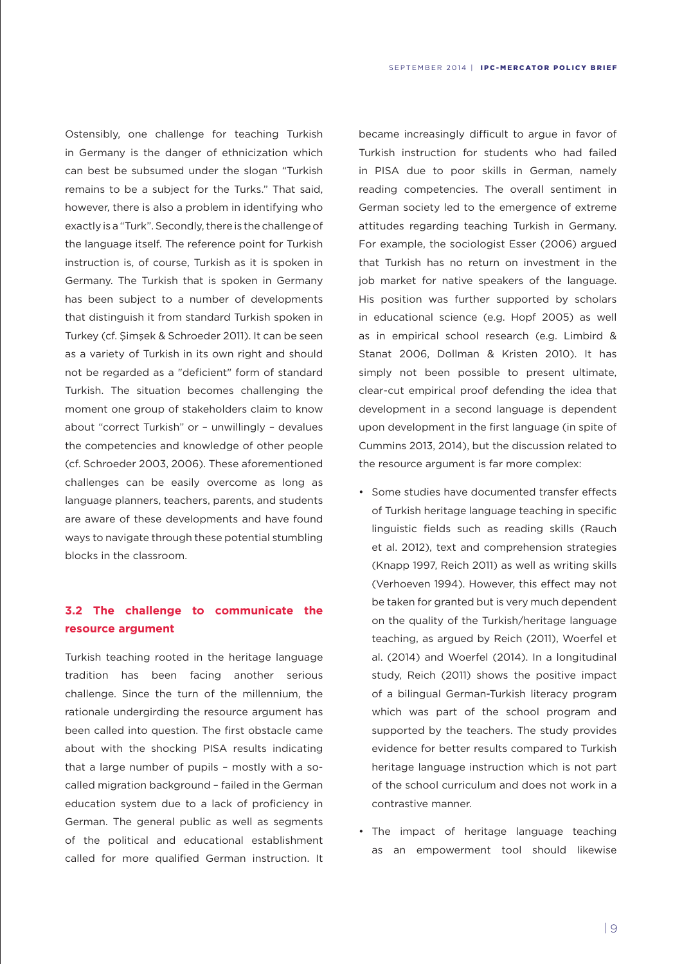Ostensibly, one challenge for teaching Turkish in Germany is the danger of ethnicization which can best be subsumed under the slogan "Turkish remains to be a subject for the Turks." That said, however, there is also a problem in identifying who exactly is a "Turk". Secondly, there is the challenge of the language itself. The reference point for Turkish instruction is, of course, Turkish as it is spoken in Germany. The Turkish that is spoken in Germany has been subject to a number of developments that distinguish it from standard Turkish spoken in Turkey (cf. Şimşek & Schroeder 2011). It can be seen as a variety of Turkish in its own right and should not be regarded as a "deficient" form of standard Turkish. The situation becomes challenging the moment one group of stakeholders claim to know about "correct Turkish" or – unwillingly – devalues the competencies and knowledge of other people (cf. Schroeder 2003, 2006). These aforementioned challenges can be easily overcome as long as language planners, teachers, parents, and students are aware of these developments and have found ways to navigate through these potential stumbling blocks in the classroom.

# **3.2 The challenge to communicate the resource argument**

Turkish teaching rooted in the heritage language tradition has been facing another serious challenge. Since the turn of the millennium, the rationale undergirding the resource argument has been called into question. The first obstacle came about with the shocking PISA results indicating that a large number of pupils – mostly with a socalled migration background – failed in the German education system due to a lack of proficiency in German. The general public as well as segments of the political and educational establishment called for more qualified German instruction. It

became increasingly difficult to argue in favor of Turkish instruction for students who had failed in PISA due to poor skills in German, namely reading competencies. The overall sentiment in German society led to the emergence of extreme attitudes regarding teaching Turkish in Germany. For example, the sociologist Esser (2006) argued that Turkish has no return on investment in the job market for native speakers of the language. His position was further supported by scholars in educational science (e.g. Hopf 2005) as well as in empirical school research (e.g. Limbird & Stanat 2006, Dollman & Kristen 2010). It has simply not been possible to present ultimate, clear-cut empirical proof defending the idea that development in a second language is dependent upon development in the first language (in spite of Cummins 2013, 2014), but the discussion related to the resource argument is far more complex:

- • Some studies have documented transfer effects of Turkish heritage language teaching in specific linguistic fields such as reading skills (Rauch et al. 2012), text and comprehension strategies (Knapp 1997, Reich 2011) as well as writing skills (Verhoeven 1994). However, this effect may not be taken for granted but is very much dependent on the quality of the Turkish/heritage language teaching, as argued by Reich (2011), Woerfel et al. (2014) and Woerfel (2014). In a longitudinal study, Reich (2011) shows the positive impact of a bilingual German-Turkish literacy program which was part of the school program and supported by the teachers. The study provides evidence for better results compared to Turkish heritage language instruction which is not part of the school curriculum and does not work in a contrastive manner.
- • The impact of heritage language teaching as an empowerment tool should likewise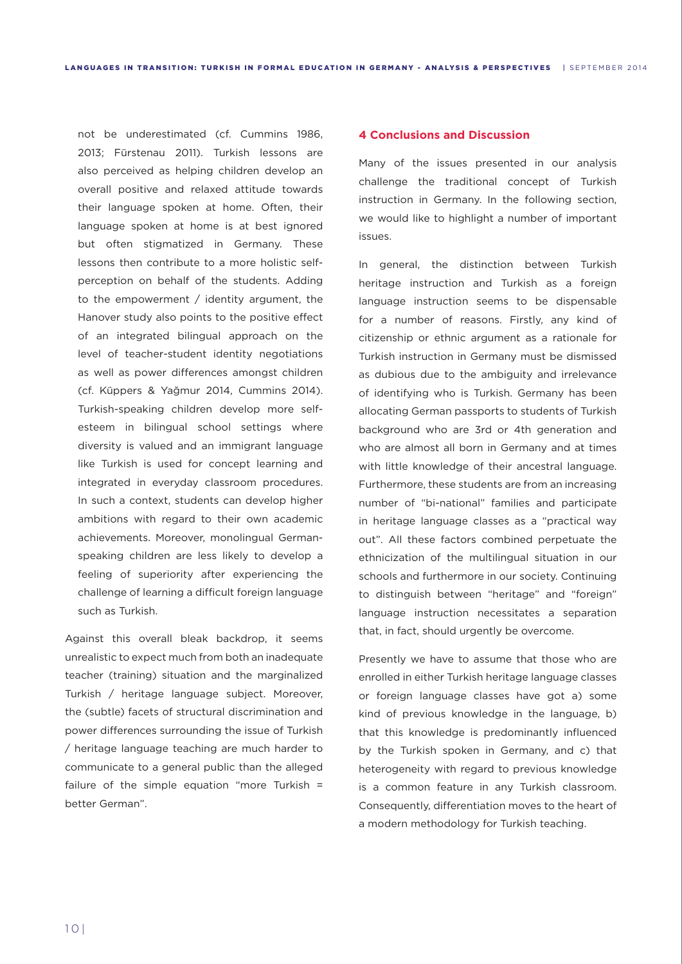not be underestimated (cf. Cummins 1986, 2013; Fürstenau 2011). Turkish lessons are also perceived as helping children develop an overall positive and relaxed attitude towards their language spoken at home. Often, their language spoken at home is at best ignored but often stigmatized in Germany. These lessons then contribute to a more holistic selfperception on behalf of the students. Adding to the empowerment / identity argument, the Hanover study also points to the positive effect of an integrated bilingual approach on the level of teacher-student identity negotiations as well as power differences amongst children (cf. Küppers & Yağmur 2014, Cummins 2014). Turkish-speaking children develop more selfesteem in bilingual school settings where diversity is valued and an immigrant language like Turkish is used for concept learning and integrated in everyday classroom procedures. In such a context, students can develop higher ambitions with regard to their own academic achievements. Moreover, monolingual Germanspeaking children are less likely to develop a feeling of superiority after experiencing the challenge of learning a difficult foreign language such as Turkish.

Against this overall bleak backdrop, it seems unrealistic to expect much from both an inadequate teacher (training) situation and the marginalized Turkish / heritage language subject. Moreover, the (subtle) facets of structural discrimination and power differences surrounding the issue of Turkish / heritage language teaching are much harder to communicate to a general public than the alleged failure of the simple equation "more Turkish = better German".

# **4 Conclusions and Discussion**

Many of the issues presented in our analysis challenge the traditional concept of Turkish instruction in Germany. In the following section, we would like to highlight a number of important issues.

In general, the distinction between Turkish heritage instruction and Turkish as a foreign language instruction seems to be dispensable for a number of reasons. Firstly, any kind of citizenship or ethnic argument as a rationale for Turkish instruction in Germany must be dismissed as dubious due to the ambiguity and irrelevance of identifying who is Turkish. Germany has been allocating German passports to students of Turkish background who are 3rd or 4th generation and who are almost all born in Germany and at times with little knowledge of their ancestral language. Furthermore, these students are from an increasing number of "bi-national" families and participate in heritage language classes as a "practical way out". All these factors combined perpetuate the ethnicization of the multilingual situation in our schools and furthermore in our society. Continuing to distinguish between "heritage" and "foreign" language instruction necessitates a separation that, in fact, should urgently be overcome.

Presently we have to assume that those who are enrolled in either Turkish heritage language classes or foreign language classes have got a) some kind of previous knowledge in the language, b) that this knowledge is predominantly influenced by the Turkish spoken in Germany, and c) that heterogeneity with regard to previous knowledge is a common feature in any Turkish classroom. Consequently, differentiation moves to the heart of a modern methodology for Turkish teaching.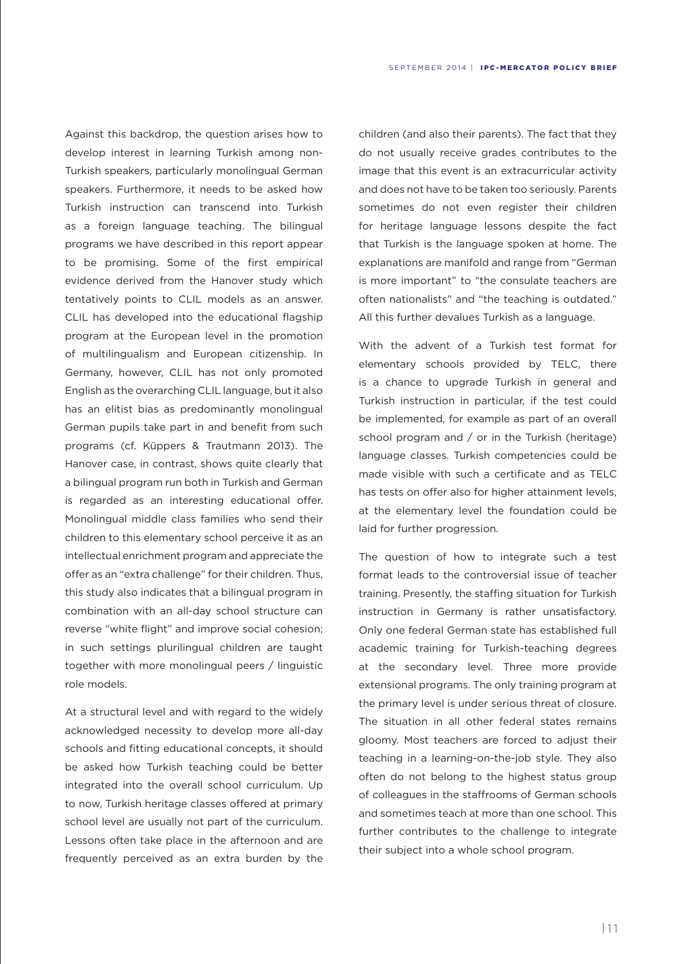Against this backdrop, the question arises how to develop interest in learning Turkish among non-Turkish speakers, particularly monolingual German speakers. Furthermore, it needs to be asked how Turkish instruction can transcend into Turkish as a foreign language teaching. The bilingual programs we have described in this report appear to be promising. Some of the first empirical evidence derived from the Hanover study which tentatively points to CLIL models as an answer. CLIL has developed into the educational flagship program at the European level in the promotion of multilingualism and European citizenship. In Germany, however, CLIL has not only promoted English as the overarching CLIL language, but it also has an elitist bias as predominantly monolingual German pupils take part in and benefit from such programs (cf. Küppers & Trautmann 2013). The Hanover case, in contrast, shows quite clearly that a bilingual program run both in Turkish and German is regarded as an interesting educational offer. Monolingual middle class families who send their children to this elementary school perceive it as an intellectual enrichment program and appreciate the offer as an "extra challenge" for their children. Thus, this study also indicates that a bilingual program in combination with an all-day school structure can reverse "white flight" and improve social cohesion; in such settings plurilingual children are taught together with more monolingual peers / linguistic role models.

At a structural level and with regard to the widely acknowledged necessity to develop more all-day schools and fitting educational concepts, it should be asked how Turkish teaching could be better integrated into the overall school curriculum. Up to now, Turkish heritage classes offered at primary school level are usually not part of the curriculum. Lessons often take place in the afternoon and are frequently perceived as an extra burden by the

children (and also their parents). The fact that they do not usually receive grades contributes to the image that this event is an extracurricular activity and does not have to be taken too seriously. Parents sometimes do not even register their children for heritage language lessons despite the fact that Turkish is the language spoken at home. The explanations are manifold and range from "German is more important" to "the consulate teachers are often nationalists" and "the teaching is outdated." All this further devalues Turkish as a language.

With the advent of a Turkish test format for elementary schools provided by TELC, there is a chance to upgrade Turkish in general and Turkish instruction in particular, if the test could be implemented, for example as part of an overall school program and / or in the Turkish (heritage) language classes. Turkish competencies could be made visible with such a certificate and as TELC has tests on offer also for higher attainment levels, at the elementary level the foundation could be laid for further progression.

The question of how to integrate such a test format leads to the controversial issue of teacher training. Presently, the staffing situation for Turkish instruction in Germany is rather unsatisfactory. Only one federal German state has established full academic training for Turkish-teaching degrees at the secondary level. Three more provide extensional programs. The only training program at the primary level is under serious threat of closure. The situation in all other federal states remains gloomy. Most teachers are forced to adjust their teaching in a learning-on-the-job style. They also often do not belong to the highest status group of colleagues in the staffrooms of German schools and sometimes teach at more than one school. This further contributes to the challenge to integrate their subject into a whole school program.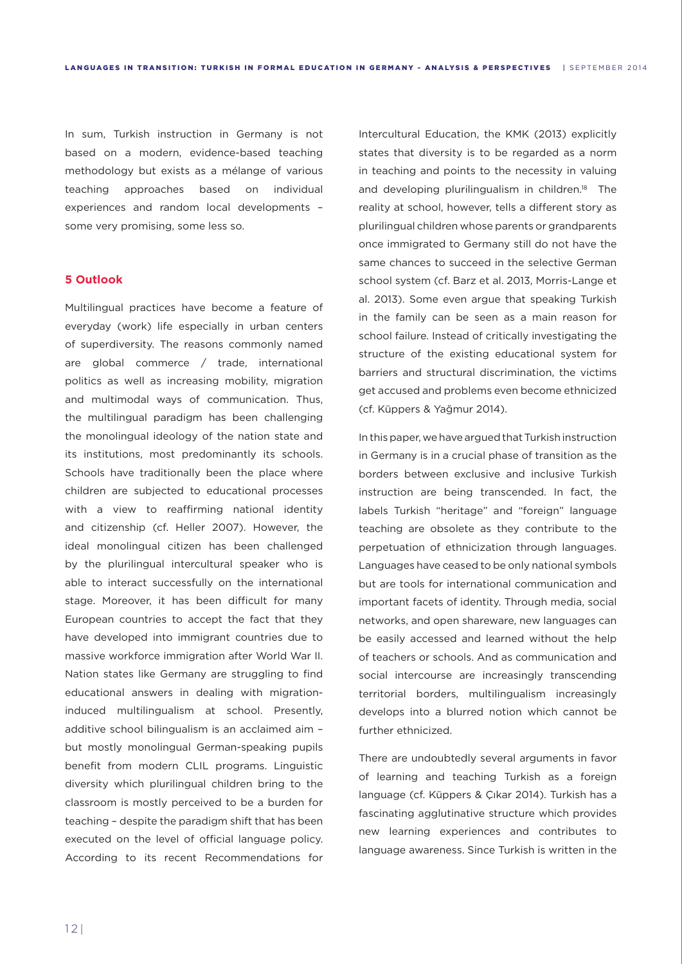In sum, Turkish instruction in Germany is not based on a modern, evidence-based teaching methodology but exists as a mélange of various teaching approaches based on individual experiences and random local developments – some very promising, some less so.

#### **5 Outlook**

Multilingual practices have become a feature of everyday (work) life especially in urban centers of superdiversity. The reasons commonly named are global commerce / trade, international politics as well as increasing mobility, migration and multimodal ways of communication. Thus, the multilingual paradigm has been challenging the monolingual ideology of the nation state and its institutions, most predominantly its schools. Schools have traditionally been the place where children are subjected to educational processes with a view to reaffirming national identity and citizenship (cf. Heller 2007). However, the ideal monolingual citizen has been challenged by the plurilingual intercultural speaker who is able to interact successfully on the international stage. Moreover, it has been difficult for many European countries to accept the fact that they have developed into immigrant countries due to massive workforce immigration after World War II. Nation states like Germany are struggling to find educational answers in dealing with migrationinduced multilingualism at school. Presently, additive school bilingualism is an acclaimed aim – but mostly monolingual German-speaking pupils benefit from modern CLIL programs. Linguistic diversity which plurilingual children bring to the classroom is mostly perceived to be a burden for teaching – despite the paradigm shift that has been executed on the level of official language policy. According to its recent Recommendations for

Intercultural Education, the KMK (2013) explicitly states that diversity is to be regarded as a norm in teaching and points to the necessity in valuing and developing plurilingualism in children.<sup>18</sup> The reality at school, however, tells a different story as plurilingual children whose parents or grandparents once immigrated to Germany still do not have the same chances to succeed in the selective German school system (cf. Barz et al. 2013, Morris-Lange et al. 2013). Some even argue that speaking Turkish in the family can be seen as a main reason for school failure. Instead of critically investigating the structure of the existing educational system for barriers and structural discrimination, the victims get accused and problems even become ethnicized (cf. Küppers & Yağmur 2014).

In this paper, we have argued that Turkish instruction in Germany is in a crucial phase of transition as the borders between exclusive and inclusive Turkish instruction are being transcended. In fact, the labels Turkish "heritage" and "foreign" language teaching are obsolete as they contribute to the perpetuation of ethnicization through languages. Languages have ceased to be only national symbols but are tools for international communication and important facets of identity. Through media, social networks, and open shareware, new languages can be easily accessed and learned without the help of teachers or schools. And as communication and social intercourse are increasingly transcending territorial borders, multilingualism increasingly develops into a blurred notion which cannot be further ethnicized.

There are undoubtedly several arguments in favor of learning and teaching Turkish as a foreign language (cf. Küppers & Çıkar 2014). Turkish has a fascinating agglutinative structure which provides new learning experiences and contributes to language awareness. Since Turkish is written in the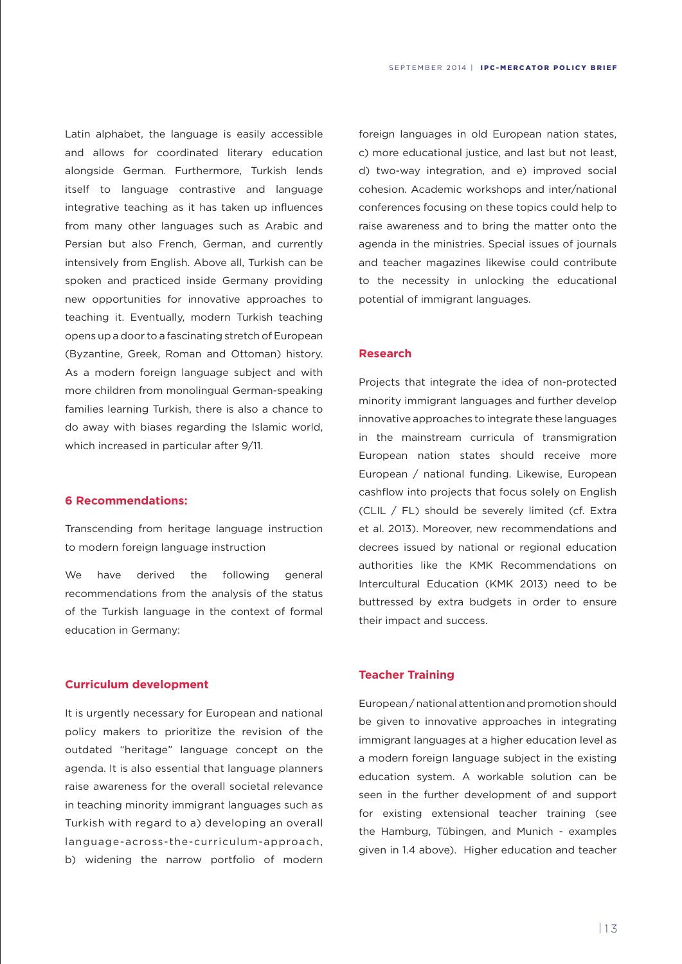Latin alphabet, the language is easily accessible and allows for coordinated literary education alongside German. Furthermore, Turkish lends itself to language contrastive and language integrative teaching as it has taken up influences from many other languages such as Arabic and Persian but also French, German, and currently intensively from English. Above all, Turkish can be spoken and practiced inside Germany providing new opportunities for innovative approaches to teaching it. Eventually, modern Turkish teaching opens up a door to a fascinating stretch of European (Byzantine, Greek, Roman and Ottoman) history. As a modern foreign language subject and with more children from monolingual German-speaking families learning Turkish, there is also a chance to do away with biases regarding the Islamic world, which increased in particular after 9/11.

#### **6 Recommendations:**

Transcending from heritage language instruction to modern foreign language instruction

We have derived the following general recommendations from the analysis of the status of the Turkish language in the context of formal education in Germany:

# **Curriculum development**

It is urgently necessary for European and national policy makers to prioritize the revision of the outdated "heritage" language concept on the agenda. It is also essential that language planners raise awareness for the overall societal relevance in teaching minority immigrant languages such as Turkish with regard to a) developing an overall language-across-the-curriculum-approach, b) widening the narrow portfolio of modern

foreign languages in old European nation states, c) more educational justice, and last but not least, d) two-way integration, and e) improved social cohesion. Academic workshops and inter/national conferences focusing on these topics could help to raise awareness and to bring the matter onto the agenda in the ministries. Special issues of journals and teacher magazines likewise could contribute to the necessity in unlocking the educational potential of immigrant languages.

#### **Research**

Projects that integrate the idea of non-protected minority immigrant languages and further develop innovative approaches to integrate these languages in the mainstream curricula of transmigration European nation states should receive more European / national funding. Likewise, European cashflow into projects that focus solely on English (CLIL / FL) should be severely limited (cf. Extra et al. 2013). Moreover, new recommendations and decrees issued by national or regional education authorities like the KMK Recommendations on Intercultural Education (KMK 2013) need to be buttressed by extra budgets in order to ensure their impact and success.

# **Teacher Training**

European / national attention and promotion should be given to innovative approaches in integrating immigrant languages at a higher education level as a modern foreign language subject in the existing education system. A workable solution can be seen in the further development of and support for existing extensional teacher training (see the Hamburg, Tübingen, and Munich - examples given in 1.4 above). Higher education and teacher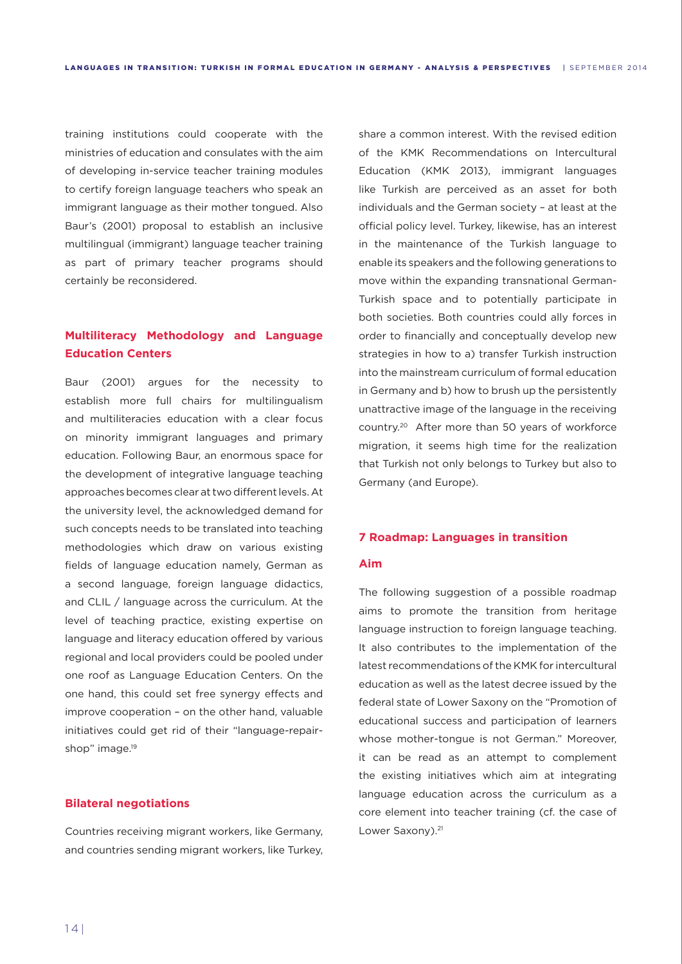training institutions could cooperate with the ministries of education and consulates with the aim of developing in-service teacher training modules to certify foreign language teachers who speak an immigrant language as their mother tongued. Also Baur's (2001) proposal to establish an inclusive multilingual (immigrant) language teacher training as part of primary teacher programs should certainly be reconsidered.

# **Multiliteracy Methodology and Language Education Centers**

Baur (2001) argues for the necessity to establish more full chairs for multilingualism and multiliteracies education with a clear focus on minority immigrant languages and primary education. Following Baur, an enormous space for the development of integrative language teaching approaches becomes clear at two different levels. At the university level, the acknowledged demand for such concepts needs to be translated into teaching methodologies which draw on various existing fields of language education namely, German as a second language, foreign language didactics, and CLIL / language across the curriculum. At the level of teaching practice, existing expertise on language and literacy education offered by various regional and local providers could be pooled under one roof as Language Education Centers. On the one hand, this could set free synergy effects and improve cooperation – on the other hand, valuable initiatives could get rid of their "language-repairshop" image.<sup>19</sup>

# **Bilateral negotiations**

Countries receiving migrant workers, like Germany, and countries sending migrant workers, like Turkey,

share a common interest. With the revised edition of the KMK Recommendations on Intercultural Education (KMK 2013), immigrant languages like Turkish are perceived as an asset for both individuals and the German society – at least at the official policy level. Turkey, likewise, has an interest in the maintenance of the Turkish language to enable its speakers and the following generations to move within the expanding transnational German-Turkish space and to potentially participate in both societies. Both countries could ally forces in order to financially and conceptually develop new strategies in how to a) transfer Turkish instruction into the mainstream curriculum of formal education in Germany and b) how to brush up the persistently unattractive image of the language in the receiving country.20 After more than 50 years of workforce migration, it seems high time for the realization that Turkish not only belongs to Turkey but also to Germany (and Europe).

# **7 Roadmap: Languages in transition**

#### **Aim**

The following suggestion of a possible roadmap aims to promote the transition from heritage language instruction to foreign language teaching. It also contributes to the implementation of the latest recommendations of the KMK for intercultural education as well as the latest decree issued by the federal state of Lower Saxony on the "Promotion of educational success and participation of learners whose mother-tongue is not German." Moreover, it can be read as an attempt to complement the existing initiatives which aim at integrating language education across the curriculum as a core element into teacher training (cf. the case of Lower Saxony).<sup>21</sup>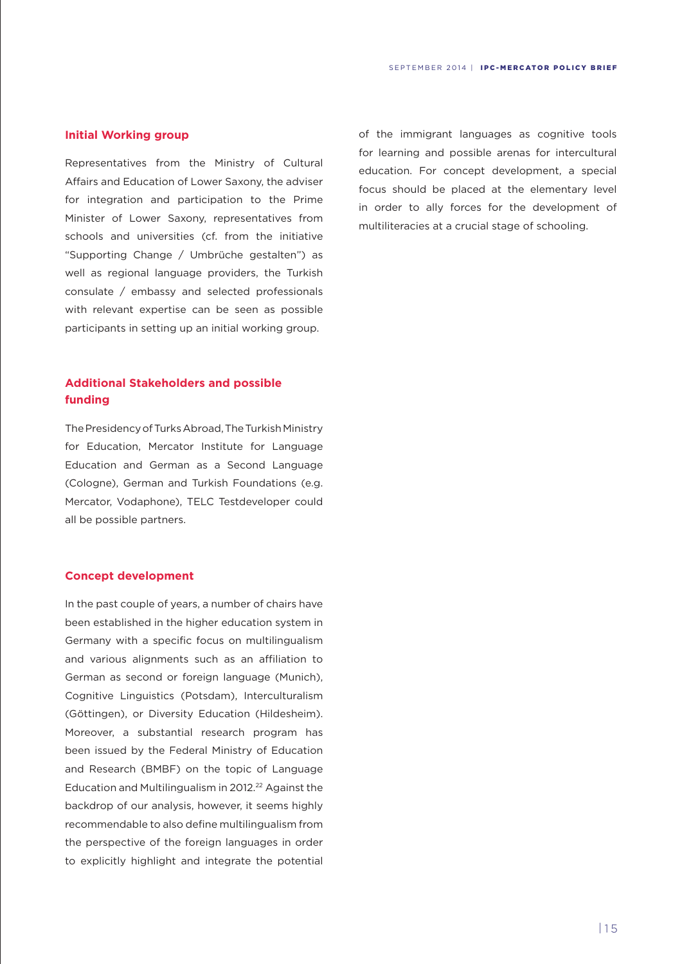# **Initial Working group**

Representatives from the Ministry of Cultural Affairs and Education of Lower Saxony, the adviser for integration and participation to the Prime Minister of Lower Saxony, representatives from schools and universities (cf. from the initiative "Supporting Change / Umbrüche gestalten") as well as regional language providers, the Turkish consulate / embassy and selected professionals with relevant expertise can be seen as possible participants in setting up an initial working group.

# **Additional Stakeholders and possible funding**

The Presidency of Turks Abroad, The Turkish Ministry for Education, Mercator Institute for Language Education and German as a Second Language (Cologne), German and Turkish Foundations (e.g. Mercator, Vodaphone), TELC Testdeveloper could all be possible partners.

### **Concept development**

In the past couple of years, a number of chairs have been established in the higher education system in Germany with a specific focus on multilingualism and various alignments such as an affiliation to German as second or foreign language (Munich), Cognitive Linguistics (Potsdam), Interculturalism (Göttingen), or Diversity Education (Hildesheim). Moreover, a substantial research program has been issued by the Federal Ministry of Education and Research (BMBF) on the topic of Language Education and Multilingualism in 2012.<sup>22</sup> Against the backdrop of our analysis, however, it seems highly recommendable to also define multilingualism from the perspective of the foreign languages in order to explicitly highlight and integrate the potential of the immigrant languages as cognitive tools for learning and possible arenas for intercultural education. For concept development, a special focus should be placed at the elementary level in order to ally forces for the development of multiliteracies at a crucial stage of schooling.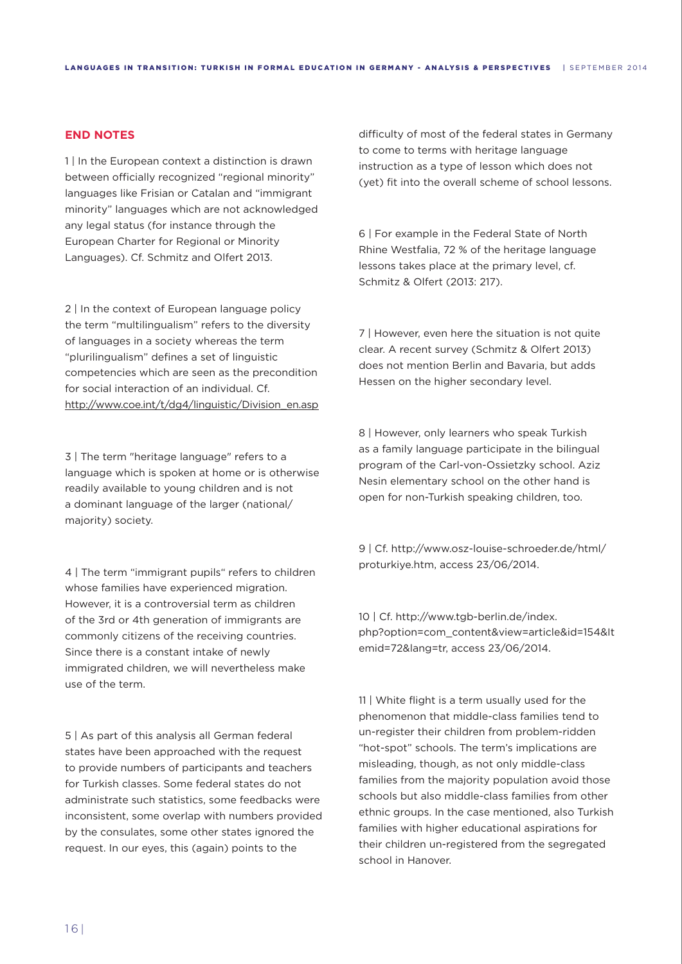# **END NOTES**

1 In the European context a distinction is drawn between officially recognized "regional minority" languages like Frisian or Catalan and "immigrant minority" languages which are not acknowledged any legal status (for instance through the European Charter for Regional or Minority Languages). Cf. Schmitz and Olfert 2013.

2 | In the context of European language policy the term "multilingualism" refers to the diversity of languages in a society whereas the term "plurilingualism" defines a set of linguistic competencies which are seen as the precondition for social interaction of an individual. Cf. http://www.coe.int/t/dg4/linguistic/Division\_en.asp

3 | The term "heritage language" refers to a language which is spoken at home or is otherwise readily available to young children and is not a dominant language of the larger (national/ majority) society.

4 | The term "immigrant pupils" refers to children whose families have experienced migration. However, it is a controversial term as children of the 3rd or 4th generation of immigrants are commonly citizens of the receiving countries. Since there is a constant intake of newly immigrated children, we will nevertheless make use of the term.

5 | As part of this analysis all German federal states have been approached with the request to provide numbers of participants and teachers for Turkish classes. Some federal states do not administrate such statistics, some feedbacks were inconsistent, some overlap with numbers provided by the consulates, some other states ignored the request. In our eyes, this (again) points to the

difficulty of most of the federal states in Germany to come to terms with heritage language instruction as a type of lesson which does not (yet) fit into the overall scheme of school lessons.

6 | For example in the Federal State of North Rhine Westfalia, 72 % of the heritage language lessons takes place at the primary level, cf. Schmitz & Olfert (2013: 217).

7 | However, even here the situation is not quite clear. A recent survey (Schmitz & Olfert 2013) does not mention Berlin and Bavaria, but adds Hessen on the higher secondary level.

8 | However, only learners who speak Turkish as a family language participate in the bilingual program of the Carl-von-Ossietzky school. Aziz Nesin elementary school on the other hand is open for non-Turkish speaking children, too.

9 | Cf. http://www.osz-louise-schroeder.de/html/ proturkiye.htm, access 23/06/2014.

10 | Cf. http://www.tgb-berlin.de/index. php?option=com\_content&view=article&id=154&It emid=72&lang=tr, access 23/06/2014.

11 | White flight is a term usually used for the phenomenon that middle-class families tend to un-register their children from problem-ridden "hot-spot" schools. The term's implications are misleading, though, as not only middle-class families from the majority population avoid those schools but also middle-class families from other ethnic groups. In the case mentioned, also Turkish families with higher educational aspirations for their children un-registered from the segregated school in Hanover.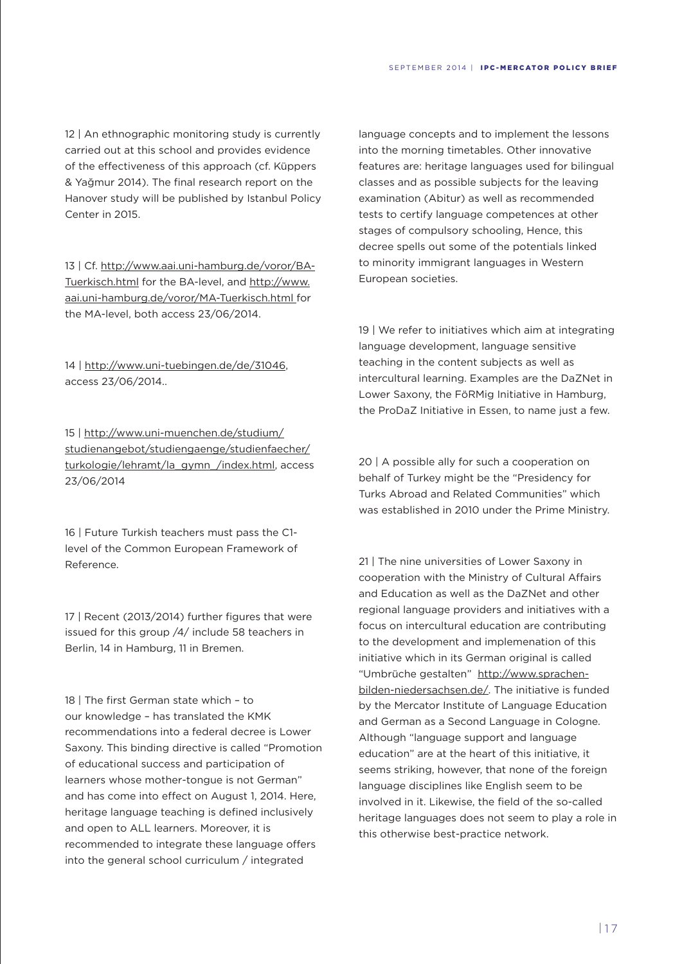12 | An ethnographic monitoring study is currently carried out at this school and provides evidence of the effectiveness of this approach (cf. Küppers & Yağmur 2014). The final research report on the Hanover study will be published by Istanbul Policy Center in 2015.

13 | Cf. http://www.aai.uni-hamburg.de/voror/BA-Tuerkisch.html for the BA-level, and http://www. aai.uni-hamburg.de/voror/MA-Tuerkisch.html for the MA-level, both access 23/06/2014.

14 | http://www.uni-tuebingen.de/de/31046, access 23/06/2014..

15 | http://www.uni-muenchen.de/studium/ studienangebot/studiengaenge/studienfaecher/ turkologie/lehramt/la\_gymn\_/index.html, access 23/06/2014

16 | Future Turkish teachers must pass the C1 level of the Common European Framework of Reference.

17 | Recent (2013/2014) further figures that were issued for this group /4/ include 58 teachers in Berlin, 14 in Hamburg, 11 in Bremen.

18 | The first German state which – to our knowledge – has translated the KMK recommendations into a federal decree is Lower Saxony. This binding directive is called "Promotion of educational success and participation of learners whose mother-tongue is not German" and has come into effect on August 1, 2014. Here, heritage language teaching is defined inclusively and open to ALL learners. Moreover, it is recommended to integrate these language offers into the general school curriculum / integrated

language concepts and to implement the lessons into the morning timetables. Other innovative features are: heritage languages used for bilingual classes and as possible subjects for the leaving examination (Abitur) as well as recommended tests to certify language competences at other stages of compulsory schooling, Hence, this decree spells out some of the potentials linked to minority immigrant languages in Western European societies.

19 | We refer to initiatives which aim at integrating language development, language sensitive teaching in the content subjects as well as intercultural learning. Examples are the DaZNet in Lower Saxony, the FöRMig Initiative in Hamburg, the ProDaZ Initiative in Essen, to name just a few.

20 | A possible ally for such a cooperation on behalf of Turkey might be the "Presidency for Turks Abroad and Related Communities" which was established in 2010 under the Prime Ministry.

21 | The nine universities of Lower Saxony in cooperation with the Ministry of Cultural Affairs and Education as well as the DaZNet and other regional language providers and initiatives with a focus on intercultural education are contributing to the development and implemenation of this initiative which in its German original is called "Umbrüche gestalten" http://www.sprachenbilden-niedersachsen.de/. The initiative is funded by the Mercator Institute of Language Education and German as a Second Language in Cologne. Although "language support and language education" are at the heart of this initiative, it seems striking, however, that none of the foreign language disciplines like English seem to be involved in it. Likewise, the field of the so-called heritage languages does not seem to play a role in this otherwise best-practice network.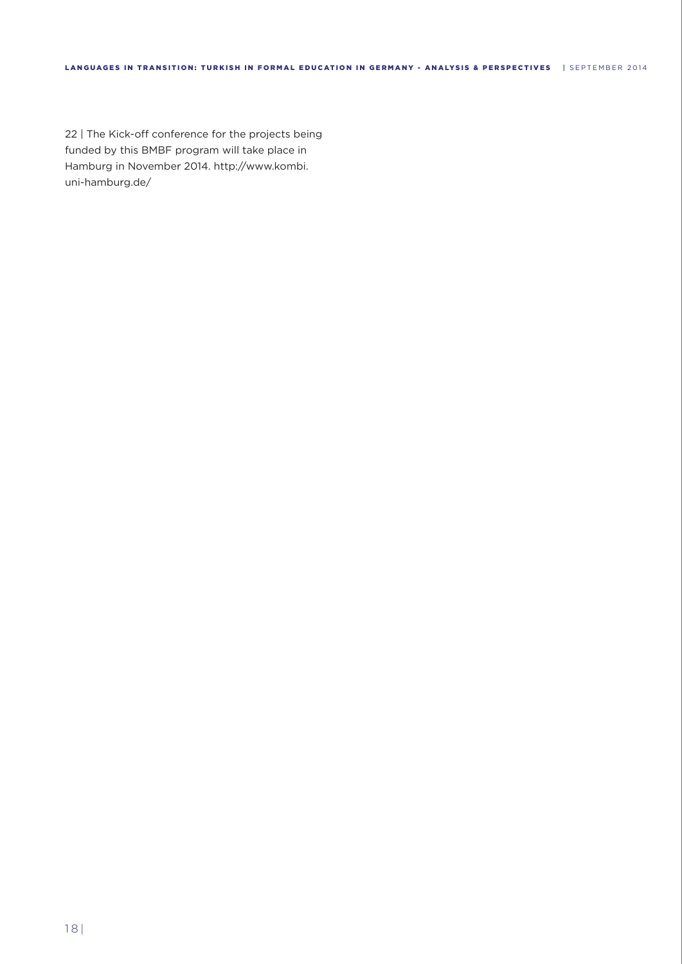22 | The Kick-off conference for the projects being funded by this BMBF program will take place in Hamburg in November 2014. http://www.kombi. uni-hamburg.de/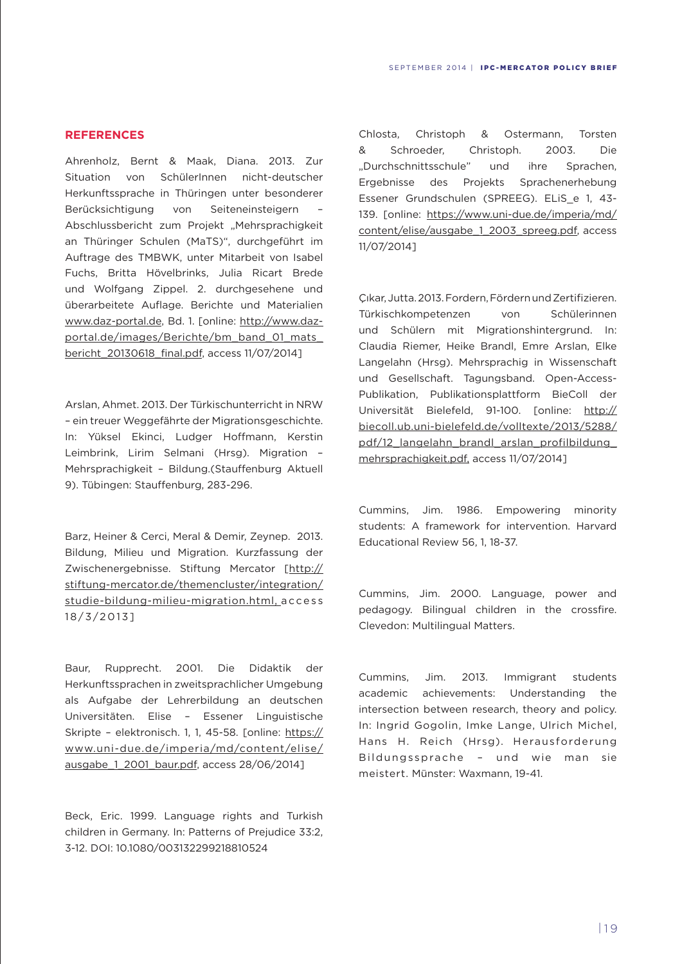# **REFERENCES**

Ahrenholz, Bernt & Maak, Diana. 2013. Zur Situation von SchülerInnen nicht-deutscher Herkunftssprache in Thüringen unter besonderer Berücksichtigung von Seiteneinsteigern – Abschlussbericht zum Projekt "Mehrsprachigkeit an Thüringer Schulen (MaTS)", durchgeführt im Auftrage des TMBWK, unter Mitarbeit von Isabel Fuchs, Britta Hövelbrinks, Julia Ricart Brede und Wolfgang Zippel. 2. durchgesehene und überarbeitete Auflage. Berichte und Materialien www.daz-portal.de, Bd. 1. [online: http://www.dazportal.de/images/Berichte/bm\_band\_01\_mats\_ bericht\_20130618\_final.pdf, access 11/07/2014]

Arslan, Ahmet. 2013. Der Türkischunterricht in NRW – ein treuer Weggefährte der Migrationsgeschichte. In: Yüksel Ekinci, Ludger Hoffmann, Kerstin Leimbrink, Lirim Selmani (Hrsg). Migration – Mehrsprachigkeit – Bildung.(Stauffenburg Aktuell 9). Tübingen: Stauffenburg, 283-296.

Barz, Heiner & Cerci, Meral & Demir, Zeynep. 2013. Bildung, Milieu und Migration. Kurzfassung der Zwischenergebnisse. Stiftung Mercator [http:// stiftung-mercator.de/themencluster/integration/ studie-bildung-milieu-migration.html, a cce ss 18/3/2013]

Baur, Rupprecht. 2001. Die Didaktik der Herkunftssprachen in zweitsprachlicher Umgebung als Aufgabe der Lehrerbildung an deutschen Universitäten. Elise – Essener Linguistische Skripte - elektronisch. 1, 1, 45-58. [online: https:// www.uni-due.de/imperia/md/content/elise/ ausgabe 1 2001 baur.pdf, access 28/06/2014]

Beck, Eric. 1999. Language rights and Turkish children in Germany. In: Patterns of Prejudice 33:2, 3-12. DOI: 10.1080/003132299218810524

Chlosta, Christoph & Ostermann, Torsten & Schroeder, Christoph. 2003. Die "Durchschnittsschule" und ihre Sprachen, Ergebnisse des Projekts Sprachenerhebung Essener Grundschulen (SPREEG). ELiS e 1, 43-139. [online: https://www.uni-due.de/imperia/md/ content/elise/ausgabe\_1\_2003\_spreeg.pdf, access 11/07/2014]

Çıkar, Jutta. 2013. Fordern, Fördern und Zertifizieren. Türkischkompetenzen von Schülerinnen und Schülern mit Migrationshintergrund. In: Claudia Riemer, Heike Brandl, Emre Arslan, Elke Langelahn (Hrsg). Mehrsprachig in Wissenschaft und Gesellschaft. Tagungsband. Open-Access-Publikation, Publikationsplattform BieColl der Universität Bielefeld, 91-100. [online: http:// biecoll.ub.uni-bielefeld.de/volltexte/2013/5288/ pdf/12\_langelahn\_brandl\_arslan\_profilbildung\_ mehrsprachigkeit.pdf, access 11/07/2014]

Cummins, Jim. 1986. Empowering minority students: A framework for intervention. Harvard Educational Review 56, 1, 18-37.

Cummins, Jim. 2000. Language, power and pedagogy. Bilingual children in the crossfire. Clevedon: Multilingual Matters.

Cummins, Jim. 2013. Immigrant students academic achievements: Understanding the intersection between research, theory and policy. In: Ingrid Gogolin, Imke Lange, Ulrich Michel, Hans H. Reich (Hrsg). Herausforderung Bildungssprache – und wie man sie meistert. Münster: Waxmann, 19-41.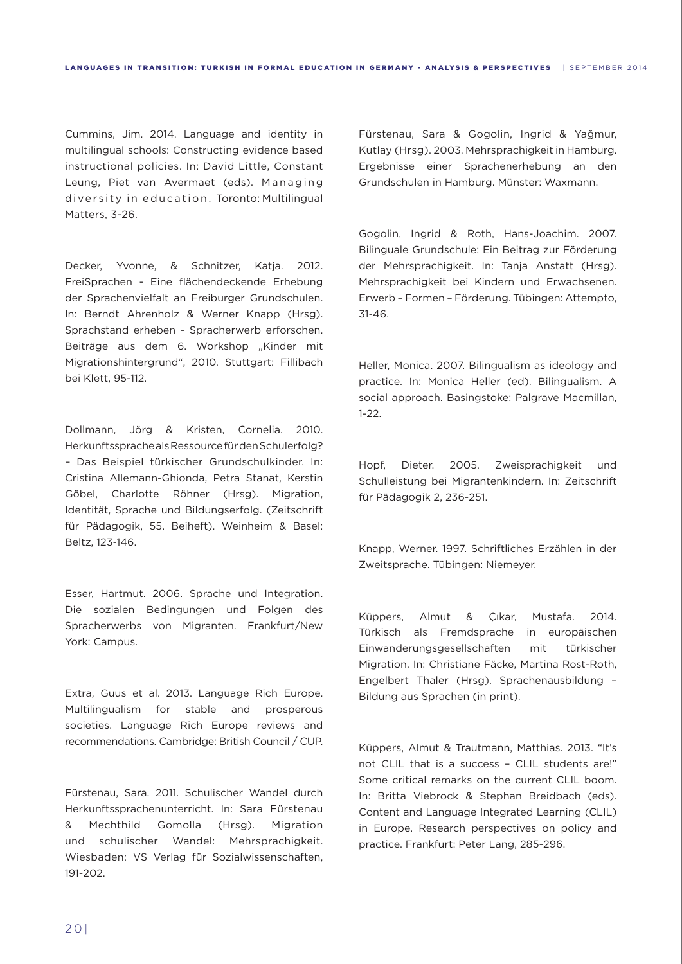Cummins, Jim. 2014. Language and identity in multilingual schools: Constructing evidence based instructional policies. In: David Little, Constant Leung, Piet van Avermaet (eds). Managing diversity in education. Toronto: Multilingual Matters, 3-26.

Decker, Yvonne, & Schnitzer, Katja. 2012. FreiSprachen - Eine flächendeckende Erhebung der Sprachenvielfalt an Freiburger Grundschulen. In: Berndt Ahrenholz & Werner Knapp (Hrsg). Sprachstand erheben - Spracherwerb erforschen. Beiträge aus dem 6. Workshop "Kinder mit Migrationshintergrund", 2010. Stuttgart: Fillibach bei Klett, 95-112.

Dollmann, Jörg & Kristen, Cornelia. 2010. Herkunftssprache als Ressource für den Schulerfolg? – Das Beispiel türkischer Grundschulkinder. In: Cristina Allemann-Ghionda, Petra Stanat, Kerstin Göbel, Charlotte Röhner (Hrsg). Migration, Identität, Sprache und Bildungserfolg. (Zeitschrift für Pädagogik, 55. Beiheft). Weinheim & Basel: Beltz, 123-146.

Esser, Hartmut. 2006. Sprache und Integration. Die sozialen Bedingungen und Folgen des Spracherwerbs von Migranten. Frankfurt/New York: Campus.

Extra, Guus et al. 2013. Language Rich Europe. Multilingualism for stable and prosperous societies. Language Rich Europe reviews and recommendations. Cambridge: British Council / CUP.

Fürstenau, Sara. 2011. Schulischer Wandel durch Herkunftssprachenunterricht. In: Sara Fürstenau & Mechthild Gomolla (Hrsg). Migration und schulischer Wandel: Mehrsprachigkeit. Wiesbaden: VS Verlag für Sozialwissenschaften, 191-202.

Fürstenau, Sara & Gogolin, Ingrid & Yağmur, Kutlay (Hrsg). 2003. Mehrsprachigkeit in Hamburg. Ergebnisse einer Sprachenerhebung an den Grundschulen in Hamburg. Münster: Waxmann.

Gogolin, Ingrid & Roth, Hans-Joachim. 2007. Bilinguale Grundschule: Ein Beitrag zur Förderung der Mehrsprachigkeit. In: Tanja Anstatt (Hrsg). Mehrsprachigkeit bei Kindern und Erwachsenen. Erwerb – Formen – Förderung. Tübingen: Attempto, 31-46.

Heller, Monica. 2007. Bilingualism as ideology and practice. In: Monica Heller (ed). Bilingualism. A social approach. Basingstoke: Palgrave Macmillan, 1-22.

Hopf, Dieter. 2005. Zweisprachigkeit und Schulleistung bei Migrantenkindern. In: Zeitschrift für Pädagogik 2, 236-251.

Knapp, Werner. 1997. Schriftliches Erzählen in der Zweitsprache. Tübingen: Niemeyer.

Küppers, Almut & Çıkar, Mustafa. 2014. Türkisch als Fremdsprache in europäischen Einwanderungsgesellschaften mit türkischer Migration. In: Christiane Fäcke, Martina Rost-Roth, Engelbert Thaler (Hrsg). Sprachenausbildung – Bildung aus Sprachen (in print).

Küppers, Almut & Trautmann, Matthias. 2013. "It's not CLIL that is a success – CLIL students are!" Some critical remarks on the current CLIL boom. In: Britta Viebrock & Stephan Breidbach (eds). Content and Language Integrated Learning (CLIL) in Europe. Research perspectives on policy and practice. Frankfurt: Peter Lang, 285-296.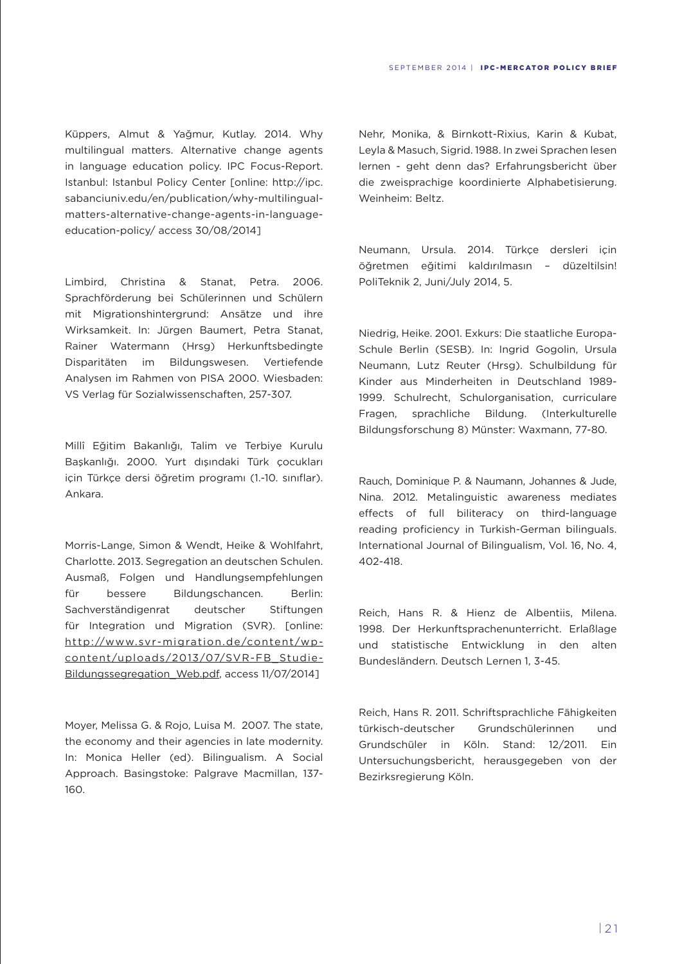Küppers, Almut & Yağmur, Kutlay. 2014. Why multilingual matters. Alternative change agents in language education policy. IPC Focus-Report. Istanbul: Istanbul Policy Center [online: http://ipc. sabanciuniv.edu/en/publication/why-multilingualmatters-alternative-change-agents-in-languageeducation-policy/ access 30/08/2014]

Limbird, Christina & Stanat, Petra. 2006. Sprachförderung bei Schülerinnen und Schülern mit Migrationshintergrund: Ansätze und ihre Wirksamkeit. In: Jürgen Baumert, Petra Stanat, Rainer Watermann (Hrsg) Herkunftsbedingte Disparitäten im Bildungswesen. Vertiefende Analysen im Rahmen von PISA 2000. Wiesbaden: VS Verlag für Sozialwissenschaften, 257-307.

Millî Eğitim Bakanlığı, Talim ve Terbiye Kurulu Başkanlığı. 2000. Yurt dışındaki Türk çocukları için Türkçe dersi öğretim programı (1.-10. sınıflar). Ankara.

Morris-Lange, Simon & Wendt, Heike & Wohlfahrt, Charlotte. 2013. Segregation an deutschen Schulen. Ausmaß, Folgen und Handlungsempfehlungen für bessere Bildungschancen. Berlin: Sachverständigenrat deutscher Stiftungen für Integration und Migration (SVR). [online: http://www.svr-migration.de/content/wpcontent/uploads/2013/07/SVR-FB\_Studie-Bildungssegregation Web.pdf, access 11/07/2014]

Moyer, Melissa G. & Rojo, Luisa M. 2007. The state, the economy and their agencies in late modernity. In: Monica Heller (ed). Bilingualism. A Social Approach. Basingstoke: Palgrave Macmillan, 137- 160.

Nehr, Monika, & Birnkott-Rixius, Karin & Kubat, Leyla & Masuch, Sigrid. 1988. In zwei Sprachen lesen lernen - geht denn das? Erfahrungsbericht über die zweisprachige koordinierte Alphabetisierung. Weinheim: Beltz.

Neumann, Ursula. 2014. Türkçe dersleri için öğretmen eğitimi kaldırılmasın – düzeltilsin! PoliTeknik 2, Juni/July 2014, 5.

Niedrig, Heike. 2001. Exkurs: Die staatliche Europa-Schule Berlin (SESB). In: Ingrid Gogolin, Ursula Neumann, Lutz Reuter (Hrsg). Schulbildung für Kinder aus Minderheiten in Deutschland 1989- 1999. Schulrecht, Schulorganisation, curriculare Fragen, sprachliche Bildung. (Interkulturelle Bildungsforschung 8) Münster: Waxmann, 77-80.

Rauch, Dominique P. & Naumann, Johannes & Jude, Nina. 2012. Metalinguistic awareness mediates effects of full biliteracy on third-language reading proficiency in Turkish-German bilinguals. International Journal of Bilingualism, Vol. 16, No. 4, 402-418.

Reich, Hans R. & Hienz de Albentiis, Milena. 1998. Der Herkunftsprachenunterricht. Erlaßlage und statistische Entwicklung in den alten Bundesländern. Deutsch Lernen 1, 3-45.

Reich, Hans R. 2011. Schriftsprachliche Fähigkeiten türkisch-deutscher Grundschülerinnen und Grundschüler in Köln. Stand: 12/2011. Ein Untersuchungsbericht, herausgegeben von der Bezirksregierung Köln.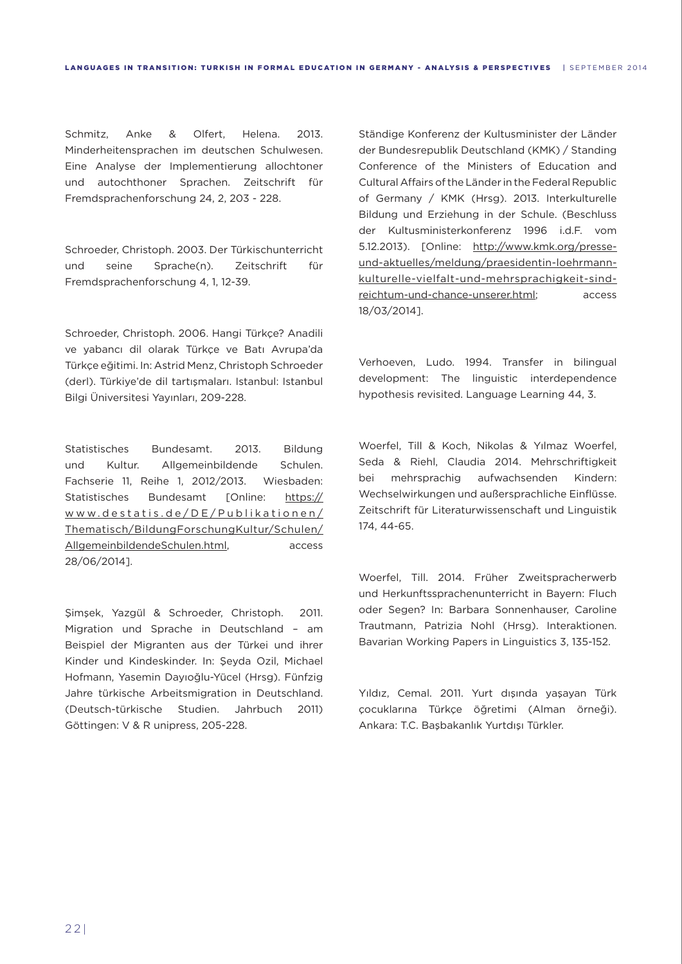Schmitz, Anke & Olfert, Helena. 2013. Minderheitensprachen im deutschen Schulwesen. Eine Analyse der Implementierung allochtoner und autochthoner Sprachen. Zeitschrift für Fremdsprachenforschung 24, 2, 203 - 228.

Schroeder, Christoph. 2003. Der Türkischunterricht und seine Sprache(n). Zeitschrift für Fremdsprachenforschung 4, 1, 12-39.

Schroeder, Christoph. 2006. Hangi Türkçe? Anadili ve yabancı dil olarak Türkçe ve Batı Avrupa'da Türkçe eğitimi. In: Astrid Menz, Christoph Schroeder (derl). Türkiye'de dil tartışmaları. Istanbul: Istanbul Bilgi Üniversitesi Yayınları, 209-228.

Statistisches Bundesamt. 2013. Bildung und Kultur. Allgemeinbildende Schulen. Fachserie 11, Reihe 1, 2012/2013. Wiesbaden: Statistisches Bundesamt [Online: https:// www.destatis.de/DE/Publikationen/ Thematisch/BildungForschungKultur/Schulen/ AllgemeinbildendeSchulen.html, access 28/06/2014].

Şimşek, Yazgül & Schroeder, Christoph. 2011. Migration und Sprache in Deutschland – am Beispiel der Migranten aus der Türkei und ihrer Kinder und Kindeskinder. In: Şeyda Ozil, Michael Hofmann, Yasemin Dayıoğlu-Yücel (Hrsg). Fünfzig Jahre türkische Arbeitsmigration in Deutschland. (Deutsch-türkische Studien. Jahrbuch 2011) Göttingen: V & R unipress, 205-228.

Ständige Konferenz der Kultusminister der Länder der Bundesrepublik Deutschland (KMK) / Standing Conference of the Ministers of Education and Cultural Affairs of the Länder in the Federal Republic of Germany / KMK (Hrsg). 2013. Interkulturelle Bildung und Erziehung in der Schule. (Beschluss der Kultusministerkonferenz 1996 i.d.F. vom 5.12.2013). [Online: http://www.kmk.org/presseund-aktuelles/meldung/praesidentin-loehrmannkulturelle-vielfalt-und-mehrsprachigkeit-sindreichtum-und-chance-unserer.html; access 18/03/2014].

Verhoeven, Ludo. 1994. Transfer in bilingual development: The linguistic interdependence hypothesis revisited. Language Learning 44, 3.

Woerfel, Till & Koch, Nikolas & Yılmaz Woerfel, Seda & Riehl, Claudia 2014. Mehrschriftigkeit bei mehrsprachig aufwachsenden Kindern: Wechselwirkungen und außersprachliche Einflüsse. Zeitschrift für Literaturwissenschaft und Linguistik 174, 44-65.

Woerfel, Till. 2014. Früher Zweitspracherwerb und Herkunftssprachenunterricht in Bayern: Fluch oder Segen? In: Barbara Sonnenhauser, Caroline Trautmann, Patrizia Nohl (Hrsg). Interaktionen. Bavarian Working Papers in Linguistics 3, 135-152.

Yıldız, Cemal. 2011. Yurt dışında yaşayan Türk çocuklarına Türkçe öğretimi (Alman örneği). Ankara: T.C. Başbakanlık Yurtdışı Türkler.